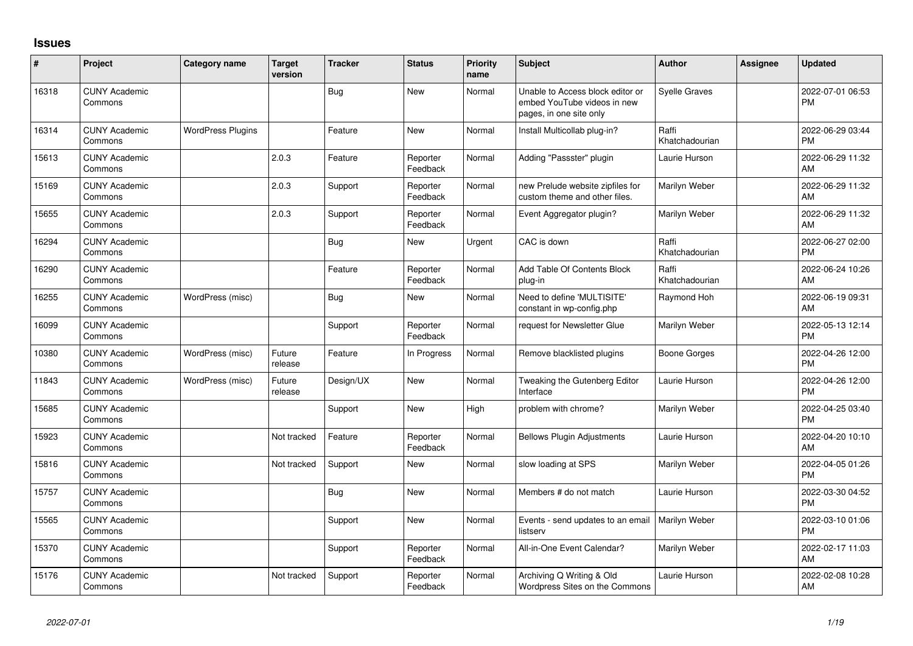## **Issues**

| ∦     | Project                         | <b>Category name</b>     | <b>Target</b><br>version | <b>Tracker</b> | <b>Status</b>        | <b>Priority</b><br>name | <b>Subject</b>                                                                             | Author                  | <b>Assignee</b> | <b>Updated</b>                |
|-------|---------------------------------|--------------------------|--------------------------|----------------|----------------------|-------------------------|--------------------------------------------------------------------------------------------|-------------------------|-----------------|-------------------------------|
| 16318 | <b>CUNY Academic</b><br>Commons |                          |                          | Bug            | <b>New</b>           | Normal                  | Unable to Access block editor or<br>embed YouTube videos in new<br>pages, in one site only | <b>Syelle Graves</b>    |                 | 2022-07-01 06:53<br><b>PM</b> |
| 16314 | <b>CUNY Academic</b><br>Commons | <b>WordPress Plugins</b> |                          | Feature        | <b>New</b>           | Normal                  | Install Multicollab plug-in?                                                               | Raffi<br>Khatchadourian |                 | 2022-06-29 03:44<br><b>PM</b> |
| 15613 | <b>CUNY Academic</b><br>Commons |                          | 2.0.3                    | Feature        | Reporter<br>Feedback | Normal                  | Adding "Passster" plugin                                                                   | Laurie Hurson           |                 | 2022-06-29 11:32<br>AM        |
| 15169 | <b>CUNY Academic</b><br>Commons |                          | 2.0.3                    | Support        | Reporter<br>Feedback | Normal                  | new Prelude website zipfiles for<br>custom theme and other files.                          | Marilyn Weber           |                 | 2022-06-29 11:32<br>AM        |
| 15655 | <b>CUNY Academic</b><br>Commons |                          | 2.0.3                    | Support        | Reporter<br>Feedback | Normal                  | Event Aggregator plugin?                                                                   | Marilyn Weber           |                 | 2022-06-29 11:32<br>AM        |
| 16294 | <b>CUNY Academic</b><br>Commons |                          |                          | Bug            | New                  | Urgent                  | CAC is down                                                                                | Raffi<br>Khatchadourian |                 | 2022-06-27 02:00<br><b>PM</b> |
| 16290 | <b>CUNY Academic</b><br>Commons |                          |                          | Feature        | Reporter<br>Feedback | Normal                  | Add Table Of Contents Block<br>plug-in                                                     | Raffi<br>Khatchadourian |                 | 2022-06-24 10:26<br>AM        |
| 16255 | <b>CUNY Academic</b><br>Commons | WordPress (misc)         |                          | Bug            | New                  | Normal                  | Need to define 'MULTISITE'<br>constant in wp-config.php                                    | Raymond Hoh             |                 | 2022-06-19 09:31<br>AM        |
| 16099 | <b>CUNY Academic</b><br>Commons |                          |                          | Support        | Reporter<br>Feedback | Normal                  | request for Newsletter Glue                                                                | Marilyn Weber           |                 | 2022-05-13 12:14<br><b>PM</b> |
| 10380 | <b>CUNY Academic</b><br>Commons | WordPress (misc)         | Future<br>release        | Feature        | In Progress          | Normal                  | Remove blacklisted plugins                                                                 | <b>Boone Gorges</b>     |                 | 2022-04-26 12:00<br><b>PM</b> |
| 11843 | <b>CUNY Academic</b><br>Commons | WordPress (misc)         | Future<br>release        | Design/UX      | <b>New</b>           | Normal                  | Tweaking the Gutenberg Editor<br>Interface                                                 | Laurie Hurson           |                 | 2022-04-26 12:00<br><b>PM</b> |
| 15685 | <b>CUNY Academic</b><br>Commons |                          |                          | Support        | <b>New</b>           | High                    | problem with chrome?                                                                       | Marilyn Weber           |                 | 2022-04-25 03:40<br><b>PM</b> |
| 15923 | <b>CUNY Academic</b><br>Commons |                          | Not tracked              | Feature        | Reporter<br>Feedback | Normal                  | <b>Bellows Plugin Adjustments</b>                                                          | Laurie Hurson           |                 | 2022-04-20 10:10<br>AM        |
| 15816 | <b>CUNY Academic</b><br>Commons |                          | Not tracked              | Support        | <b>New</b>           | Normal                  | slow loading at SPS                                                                        | Marilyn Weber           |                 | 2022-04-05 01:26<br><b>PM</b> |
| 15757 | <b>CUNY Academic</b><br>Commons |                          |                          | <b>Bug</b>     | <b>New</b>           | Normal                  | Members # do not match                                                                     | Laurie Hurson           |                 | 2022-03-30 04:52<br><b>PM</b> |
| 15565 | <b>CUNY Academic</b><br>Commons |                          |                          | Support        | <b>New</b>           | Normal                  | Events - send updates to an email<br>listserv                                              | Marilyn Weber           |                 | 2022-03-10 01:06<br><b>PM</b> |
| 15370 | <b>CUNY Academic</b><br>Commons |                          |                          | Support        | Reporter<br>Feedback | Normal                  | All-in-One Event Calendar?                                                                 | Marilyn Weber           |                 | 2022-02-17 11:03<br>AM        |
| 15176 | <b>CUNY Academic</b><br>Commons |                          | Not tracked              | Support        | Reporter<br>Feedback | Normal                  | Archiving Q Writing & Old<br>Wordpress Sites on the Commons                                | Laurie Hurson           |                 | 2022-02-08 10:28<br>AM        |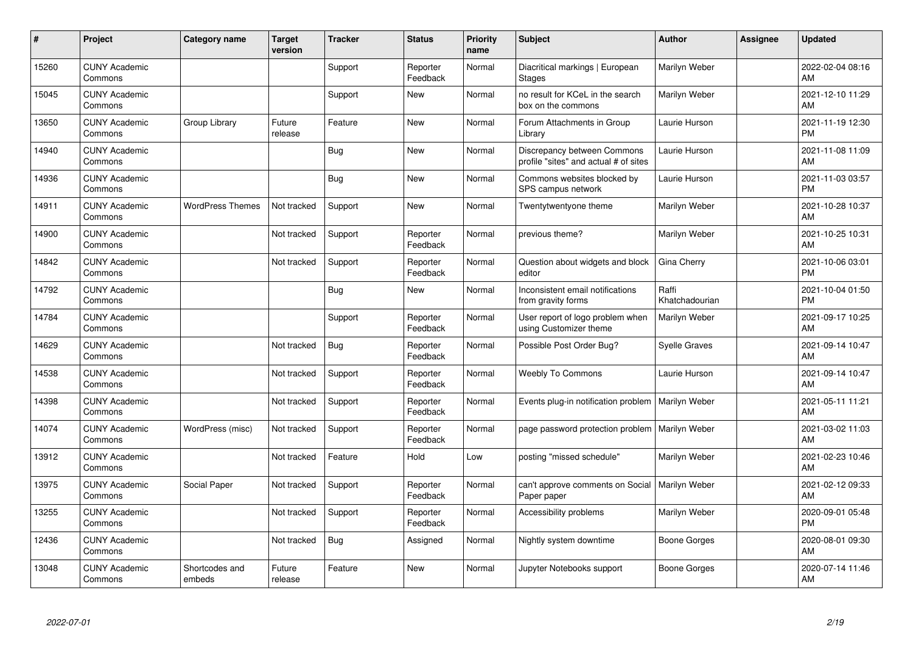| #     | Project                         | <b>Category name</b>     | <b>Target</b><br>version | <b>Tracker</b> | <b>Status</b>        | <b>Priority</b><br>name | <b>Subject</b>                                                       | <b>Author</b>           | <b>Assignee</b> | <b>Updated</b>                |
|-------|---------------------------------|--------------------------|--------------------------|----------------|----------------------|-------------------------|----------------------------------------------------------------------|-------------------------|-----------------|-------------------------------|
| 15260 | <b>CUNY Academic</b><br>Commons |                          |                          | Support        | Reporter<br>Feedback | Normal                  | Diacritical markings   European<br><b>Stages</b>                     | Marilyn Weber           |                 | 2022-02-04 08:16<br>AM        |
| 15045 | <b>CUNY Academic</b><br>Commons |                          |                          | Support        | <b>New</b>           | Normal                  | no result for KCeL in the search<br>box on the commons               | Marilyn Weber           |                 | 2021-12-10 11:29<br>AM        |
| 13650 | <b>CUNY Academic</b><br>Commons | Group Library            | Future<br>release        | Feature        | <b>New</b>           | Normal                  | Forum Attachments in Group<br>Library                                | Laurie Hurson           |                 | 2021-11-19 12:30<br><b>PM</b> |
| 14940 | <b>CUNY Academic</b><br>Commons |                          |                          | Bug            | <b>New</b>           | Normal                  | Discrepancy between Commons<br>profile "sites" and actual # of sites | Laurie Hurson           |                 | 2021-11-08 11:09<br>AM        |
| 14936 | <b>CUNY Academic</b><br>Commons |                          |                          | <b>Bug</b>     | <b>New</b>           | Normal                  | Commons websites blocked by<br>SPS campus network                    | Laurie Hurson           |                 | 2021-11-03 03:57<br><b>PM</b> |
| 14911 | <b>CUNY Academic</b><br>Commons | <b>WordPress Themes</b>  | Not tracked              | Support        | <b>New</b>           | Normal                  | Twentytwentyone theme                                                | Marilyn Weber           |                 | 2021-10-28 10:37<br><b>AM</b> |
| 14900 | <b>CUNY Academic</b><br>Commons |                          | Not tracked              | Support        | Reporter<br>Feedback | Normal                  | previous theme?                                                      | Marilyn Weber           |                 | 2021-10-25 10:31<br>AM        |
| 14842 | <b>CUNY Academic</b><br>Commons |                          | Not tracked              | Support        | Reporter<br>Feedback | Normal                  | Question about widgets and block<br>editor                           | Gina Cherry             |                 | 2021-10-06 03:01<br><b>PM</b> |
| 14792 | <b>CUNY Academic</b><br>Commons |                          |                          | Bug            | New                  | Normal                  | Inconsistent email notifications<br>from gravity forms               | Raffi<br>Khatchadourian |                 | 2021-10-04 01:50<br><b>PM</b> |
| 14784 | <b>CUNY Academic</b><br>Commons |                          |                          | Support        | Reporter<br>Feedback | Normal                  | User report of logo problem when<br>using Customizer theme           | Marilyn Weber           |                 | 2021-09-17 10:25<br>AM        |
| 14629 | <b>CUNY Academic</b><br>Commons |                          | Not tracked              | <b>Bug</b>     | Reporter<br>Feedback | Normal                  | Possible Post Order Bug?                                             | <b>Syelle Graves</b>    |                 | 2021-09-14 10:47<br>AM        |
| 14538 | <b>CUNY Academic</b><br>Commons |                          | Not tracked              | Support        | Reporter<br>Feedback | Normal                  | <b>Weebly To Commons</b>                                             | Laurie Hurson           |                 | 2021-09-14 10:47<br><b>AM</b> |
| 14398 | <b>CUNY Academic</b><br>Commons |                          | Not tracked              | Support        | Reporter<br>Feedback | Normal                  | Events plug-in notification problem                                  | Marilyn Weber           |                 | 2021-05-11 11:21<br><b>AM</b> |
| 14074 | <b>CUNY Academic</b><br>Commons | WordPress (misc)         | Not tracked              | Support        | Reporter<br>Feedback | Normal                  | page password protection problem                                     | Marilyn Weber           |                 | 2021-03-02 11:03<br><b>AM</b> |
| 13912 | <b>CUNY Academic</b><br>Commons |                          | Not tracked              | Feature        | Hold                 | Low                     | posting "missed schedule"                                            | Marilyn Weber           |                 | 2021-02-23 10:46<br><b>AM</b> |
| 13975 | <b>CUNY Academic</b><br>Commons | Social Paper             | Not tracked              | Support        | Reporter<br>Feedback | Normal                  | can't approve comments on Social<br>Paper paper                      | Marilyn Weber           |                 | 2021-02-12 09:33<br><b>AM</b> |
| 13255 | <b>CUNY Academic</b><br>Commons |                          | Not tracked              | Support        | Reporter<br>Feedback | Normal                  | Accessibility problems                                               | Marilyn Weber           |                 | 2020-09-01 05:48<br><b>PM</b> |
| 12436 | <b>CUNY Academic</b><br>Commons |                          | Not tracked              | Bug            | Assigned             | Normal                  | Nightly system downtime                                              | Boone Gorges            |                 | 2020-08-01 09:30<br>AM        |
| 13048 | <b>CUNY Academic</b><br>Commons | Shortcodes and<br>embeds | Future<br>release        | Feature        | <b>New</b>           | Normal                  | Jupyter Notebooks support                                            | Boone Gorges            |                 | 2020-07-14 11:46<br>AM        |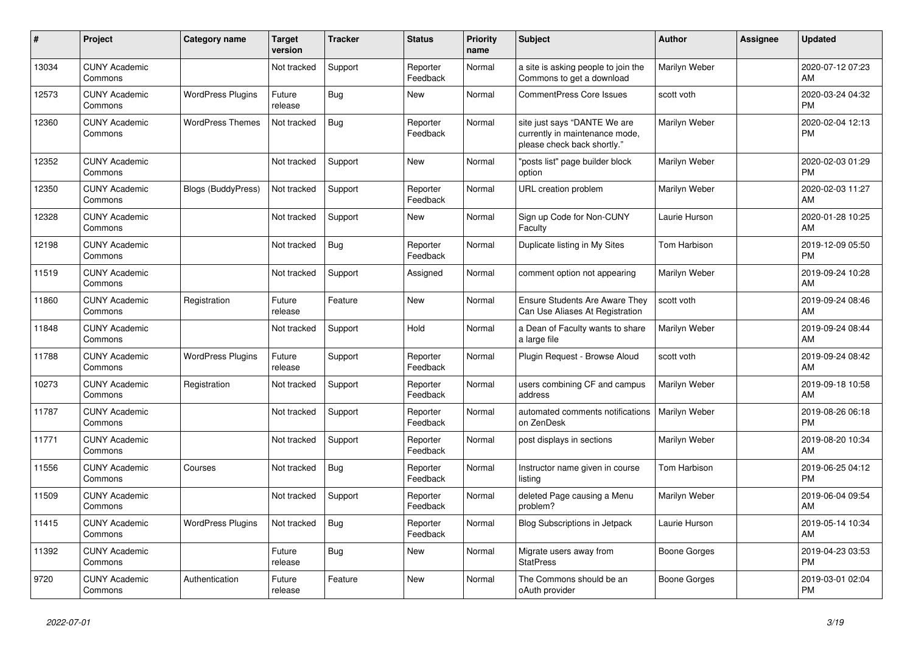| #     | Project                         | <b>Category name</b>      | <b>Target</b><br>version | <b>Tracker</b> | <b>Status</b>        | <b>Priority</b><br>name | <b>Subject</b>                                                                                | <b>Author</b> | Assignee | <b>Updated</b>                |
|-------|---------------------------------|---------------------------|--------------------------|----------------|----------------------|-------------------------|-----------------------------------------------------------------------------------------------|---------------|----------|-------------------------------|
| 13034 | <b>CUNY Academic</b><br>Commons |                           | Not tracked              | Support        | Reporter<br>Feedback | Normal                  | a site is asking people to join the<br>Commons to get a download                              | Marilyn Weber |          | 2020-07-12 07:23<br>AM        |
| 12573 | <b>CUNY Academic</b><br>Commons | <b>WordPress Plugins</b>  | Future<br>release        | Bug            | <b>New</b>           | Normal                  | <b>CommentPress Core Issues</b>                                                               | scott voth    |          | 2020-03-24 04:32<br><b>PM</b> |
| 12360 | <b>CUNY Academic</b><br>Commons | <b>WordPress Themes</b>   | Not tracked              | Bug            | Reporter<br>Feedback | Normal                  | site just says "DANTE We are<br>currently in maintenance mode,<br>please check back shortly." | Marilyn Weber |          | 2020-02-04 12:13<br><b>PM</b> |
| 12352 | <b>CUNY Academic</b><br>Commons |                           | Not tracked              | Support        | New                  | Normal                  | "posts list" page builder block<br>option                                                     | Marilyn Weber |          | 2020-02-03 01:29<br><b>PM</b> |
| 12350 | <b>CUNY Academic</b><br>Commons | <b>Blogs (BuddyPress)</b> | Not tracked              | Support        | Reporter<br>Feedback | Normal                  | URL creation problem                                                                          | Marilyn Weber |          | 2020-02-03 11:27<br>AM        |
| 12328 | <b>CUNY Academic</b><br>Commons |                           | Not tracked              | Support        | <b>New</b>           | Normal                  | Sign up Code for Non-CUNY<br>Faculty                                                          | Laurie Hurson |          | 2020-01-28 10:25<br>AM        |
| 12198 | <b>CUNY Academic</b><br>Commons |                           | Not tracked              | Bug            | Reporter<br>Feedback | Normal                  | Duplicate listing in My Sites                                                                 | Tom Harbison  |          | 2019-12-09 05:50<br><b>PM</b> |
| 11519 | <b>CUNY Academic</b><br>Commons |                           | Not tracked              | Support        | Assigned             | Normal                  | comment option not appearing                                                                  | Marilyn Weber |          | 2019-09-24 10:28<br>AM        |
| 11860 | <b>CUNY Academic</b><br>Commons | Registration              | Future<br>release        | Feature        | <b>New</b>           | Normal                  | Ensure Students Are Aware They<br>Can Use Aliases At Registration                             | scott voth    |          | 2019-09-24 08:46<br>AM        |
| 11848 | <b>CUNY Academic</b><br>Commons |                           | Not tracked              | Support        | Hold                 | Normal                  | a Dean of Faculty wants to share<br>a large file                                              | Marilyn Weber |          | 2019-09-24 08:44<br>AM        |
| 11788 | <b>CUNY Academic</b><br>Commons | <b>WordPress Plugins</b>  | Future<br>release        | Support        | Reporter<br>Feedback | Normal                  | Plugin Request - Browse Aloud                                                                 | scott voth    |          | 2019-09-24 08:42<br>AM        |
| 10273 | <b>CUNY Academic</b><br>Commons | Registration              | Not tracked              | Support        | Reporter<br>Feedback | Normal                  | users combining CF and campus<br>address                                                      | Marilyn Weber |          | 2019-09-18 10:58<br>AM        |
| 11787 | <b>CUNY Academic</b><br>Commons |                           | Not tracked              | Support        | Reporter<br>Feedback | Normal                  | automated comments notifications<br>on ZenDesk                                                | Marilyn Weber |          | 2019-08-26 06:18<br><b>PM</b> |
| 11771 | <b>CUNY Academic</b><br>Commons |                           | Not tracked              | Support        | Reporter<br>Feedback | Normal                  | post displays in sections                                                                     | Marilyn Weber |          | 2019-08-20 10:34<br>AM        |
| 11556 | <b>CUNY Academic</b><br>Commons | Courses                   | Not tracked              | Bug            | Reporter<br>Feedback | Normal                  | Instructor name given in course<br>listina                                                    | Tom Harbison  |          | 2019-06-25 04:12<br><b>PM</b> |
| 11509 | <b>CUNY Academic</b><br>Commons |                           | Not tracked              | Support        | Reporter<br>Feedback | Normal                  | deleted Page causing a Menu<br>problem?                                                       | Marilyn Weber |          | 2019-06-04 09:54<br>AM        |
| 11415 | <b>CUNY Academic</b><br>Commons | <b>WordPress Plugins</b>  | Not tracked              | Bug            | Reporter<br>Feedback | Normal                  | Blog Subscriptions in Jetpack                                                                 | Laurie Hurson |          | 2019-05-14 10:34<br>AM        |
| 11392 | <b>CUNY Academic</b><br>Commons |                           | Future<br>release        | Bug            | New                  | Normal                  | Migrate users away from<br><b>StatPress</b>                                                   | Boone Gorges  |          | 2019-04-23 03:53<br><b>PM</b> |
| 9720  | <b>CUNY Academic</b><br>Commons | Authentication            | Future<br>release        | Feature        | <b>New</b>           | Normal                  | The Commons should be an<br>oAuth provider                                                    | Boone Gorges  |          | 2019-03-01 02:04<br><b>PM</b> |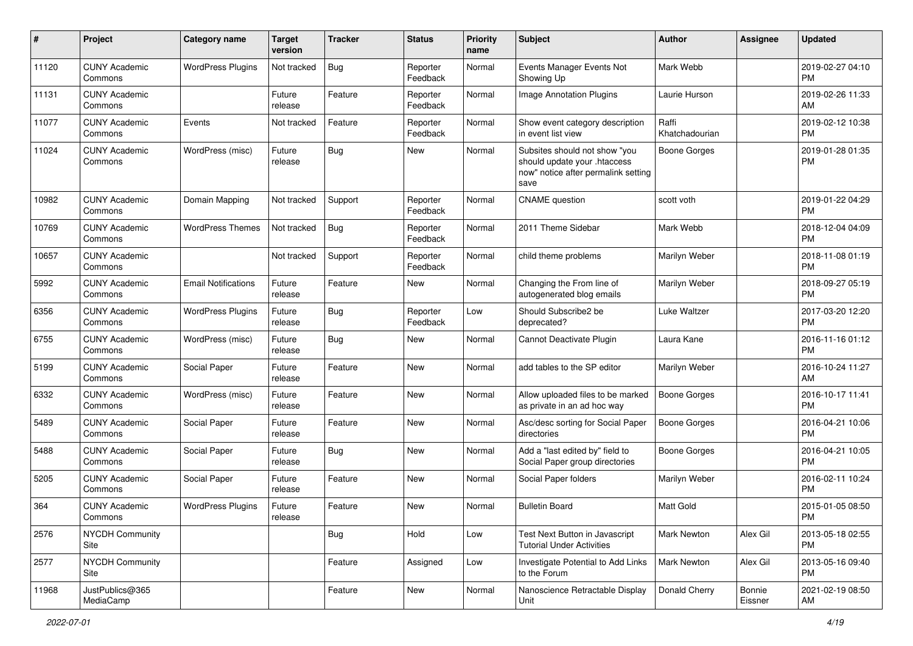| #     | Project                         | <b>Category name</b>       | <b>Target</b><br>version | <b>Tracker</b> | <b>Status</b>        | <b>Priority</b><br>name | Subject                                                                                                      | Author                  | <b>Assignee</b>   | <b>Updated</b>                |
|-------|---------------------------------|----------------------------|--------------------------|----------------|----------------------|-------------------------|--------------------------------------------------------------------------------------------------------------|-------------------------|-------------------|-------------------------------|
| 11120 | <b>CUNY Academic</b><br>Commons | <b>WordPress Plugins</b>   | Not tracked              | Bug            | Reporter<br>Feedback | Normal                  | Events Manager Events Not<br>Showing Up                                                                      | Mark Webb               |                   | 2019-02-27 04:10<br><b>PM</b> |
| 11131 | <b>CUNY Academic</b><br>Commons |                            | Future<br>release        | Feature        | Reporter<br>Feedback | Normal                  | Image Annotation Plugins                                                                                     | Laurie Hurson           |                   | 2019-02-26 11:33<br>AM        |
| 11077 | <b>CUNY Academic</b><br>Commons | Events                     | Not tracked              | Feature        | Reporter<br>Feedback | Normal                  | Show event category description<br>in event list view                                                        | Raffi<br>Khatchadourian |                   | 2019-02-12 10:38<br><b>PM</b> |
| 11024 | <b>CUNY Academic</b><br>Commons | WordPress (misc)           | Future<br>release        | Bug            | <b>New</b>           | Normal                  | Subsites should not show "you<br>should update your .htaccess<br>now" notice after permalink setting<br>save | <b>Boone Gorges</b>     |                   | 2019-01-28 01:35<br><b>PM</b> |
| 10982 | <b>CUNY Academic</b><br>Commons | Domain Mapping             | Not tracked              | Support        | Reporter<br>Feedback | Normal                  | <b>CNAME</b> question                                                                                        | scott voth              |                   | 2019-01-22 04:29<br><b>PM</b> |
| 10769 | <b>CUNY Academic</b><br>Commons | <b>WordPress Themes</b>    | Not tracked              | Bug            | Reporter<br>Feedback | Normal                  | 2011 Theme Sidebar                                                                                           | Mark Webb               |                   | 2018-12-04 04:09<br><b>PM</b> |
| 10657 | <b>CUNY Academic</b><br>Commons |                            | Not tracked              | Support        | Reporter<br>Feedback | Normal                  | child theme problems                                                                                         | Marilyn Weber           |                   | 2018-11-08 01:19<br><b>PM</b> |
| 5992  | <b>CUNY Academic</b><br>Commons | <b>Email Notifications</b> | Future<br>release        | Feature        | New                  | Normal                  | Changing the From line of<br>autogenerated blog emails                                                       | Marilyn Weber           |                   | 2018-09-27 05:19<br><b>PM</b> |
| 6356  | <b>CUNY Academic</b><br>Commons | <b>WordPress Plugins</b>   | Future<br>release        | Bug            | Reporter<br>Feedback | Low                     | Should Subscribe2 be<br>deprecated?                                                                          | Luke Waltzer            |                   | 2017-03-20 12:20<br><b>PM</b> |
| 6755  | <b>CUNY Academic</b><br>Commons | WordPress (misc)           | Future<br>release        | Bug            | <b>New</b>           | Normal                  | Cannot Deactivate Plugin                                                                                     | Laura Kane              |                   | 2016-11-16 01:12<br><b>PM</b> |
| 5199  | <b>CUNY Academic</b><br>Commons | Social Paper               | Future<br>release        | Feature        | <b>New</b>           | Normal                  | add tables to the SP editor                                                                                  | Marilyn Weber           |                   | 2016-10-24 11:27<br>AM        |
| 6332  | <b>CUNY Academic</b><br>Commons | WordPress (misc)           | Future<br>release        | Feature        | <b>New</b>           | Normal                  | Allow uploaded files to be marked<br>as private in an ad hoc way                                             | Boone Gorges            |                   | 2016-10-17 11:41<br><b>PM</b> |
| 5489  | <b>CUNY Academic</b><br>Commons | Social Paper               | Future<br>release        | Feature        | <b>New</b>           | Normal                  | Asc/desc sorting for Social Paper<br>directories                                                             | Boone Gorges            |                   | 2016-04-21 10:06<br><b>PM</b> |
| 5488  | <b>CUNY Academic</b><br>Commons | Social Paper               | Future<br>release        | Bug            | <b>New</b>           | Normal                  | Add a "last edited by" field to<br>Social Paper group directories                                            | <b>Boone Gorges</b>     |                   | 2016-04-21 10:05<br><b>PM</b> |
| 5205  | <b>CUNY Academic</b><br>Commons | Social Paper               | Future<br>release        | Feature        | New                  | Normal                  | Social Paper folders                                                                                         | Marilyn Weber           |                   | 2016-02-11 10:24<br><b>PM</b> |
| 364   | <b>CUNY Academic</b><br>Commons | <b>WordPress Plugins</b>   | Future<br>release        | Feature        | New                  | Normal                  | <b>Bulletin Board</b>                                                                                        | Matt Gold               |                   | 2015-01-05 08:50<br>PM        |
| 2576  | <b>NYCDH Community</b><br>Site  |                            |                          | Bug            | Hold                 | Low                     | Test Next Button in Javascript<br><b>Tutorial Under Activities</b>                                           | <b>Mark Newton</b>      | Alex Gil          | 2013-05-18 02:55<br><b>PM</b> |
| 2577  | <b>NYCDH Community</b><br>Site  |                            |                          | Feature        | Assigned             | Low                     | Investigate Potential to Add Links<br>to the Forum                                                           | <b>Mark Newton</b>      | Alex Gil          | 2013-05-16 09:40<br><b>PM</b> |
| 11968 | JustPublics@365<br>MediaCamp    |                            |                          | Feature        | New                  | Normal                  | Nanoscience Retractable Display<br>Unit                                                                      | Donald Cherry           | Bonnie<br>Eissner | 2021-02-19 08:50<br>AM        |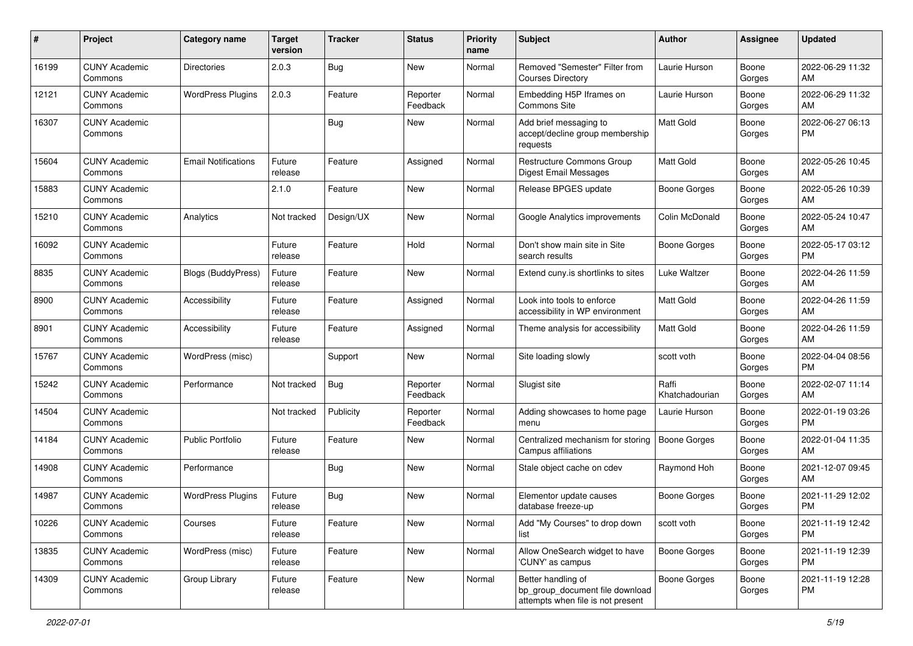| #     | Project                         | <b>Category name</b>       | <b>Target</b><br>version | <b>Tracker</b> | <b>Status</b>        | <b>Priority</b><br>name | <b>Subject</b>                                                                             | Author                  | <b>Assignee</b> | <b>Updated</b>                |
|-------|---------------------------------|----------------------------|--------------------------|----------------|----------------------|-------------------------|--------------------------------------------------------------------------------------------|-------------------------|-----------------|-------------------------------|
| 16199 | <b>CUNY Academic</b><br>Commons | <b>Directories</b>         | 2.0.3                    | <b>Bug</b>     | New                  | Normal                  | Removed "Semester" Filter from<br><b>Courses Directory</b>                                 | Laurie Hurson           | Boone<br>Gorges | 2022-06-29 11:32<br>AM        |
| 12121 | <b>CUNY Academic</b><br>Commons | <b>WordPress Plugins</b>   | 2.0.3                    | Feature        | Reporter<br>Feedback | Normal                  | Embedding H5P Iframes on<br>Commons Site                                                   | Laurie Hurson           | Boone<br>Gorges | 2022-06-29 11:32<br>AM        |
| 16307 | <b>CUNY Academic</b><br>Commons |                            |                          | Bug            | New                  | Normal                  | Add brief messaging to<br>accept/decline group membership<br>requests                      | Matt Gold               | Boone<br>Gorges | 2022-06-27 06:13<br><b>PM</b> |
| 15604 | <b>CUNY Academic</b><br>Commons | <b>Email Notifications</b> | Future<br>release        | Feature        | Assigned             | Normal                  | Restructure Commons Group<br>Digest Email Messages                                         | Matt Gold               | Boone<br>Gorges | 2022-05-26 10:45<br>AM        |
| 15883 | <b>CUNY Academic</b><br>Commons |                            | 2.1.0                    | Feature        | New                  | Normal                  | Release BPGES update                                                                       | Boone Gorges            | Boone<br>Gorges | 2022-05-26 10:39<br>AM        |
| 15210 | <b>CUNY Academic</b><br>Commons | Analytics                  | Not tracked              | Design/UX      | New                  | Normal                  | Google Analytics improvements                                                              | Colin McDonald          | Boone<br>Gorges | 2022-05-24 10:47<br>AM        |
| 16092 | <b>CUNY Academic</b><br>Commons |                            | Future<br>release        | Feature        | Hold                 | Normal                  | Don't show main site in Site<br>search results                                             | Boone Gorges            | Boone<br>Gorges | 2022-05-17 03:12<br><b>PM</b> |
| 8835  | <b>CUNY Academic</b><br>Commons | <b>Blogs (BuddyPress)</b>  | Future<br>release        | Feature        | New                  | Normal                  | Extend cuny is shortlinks to sites                                                         | Luke Waltzer            | Boone<br>Gorges | 2022-04-26 11:59<br>AM        |
| 8900  | <b>CUNY Academic</b><br>Commons | Accessibility              | Future<br>release        | Feature        | Assigned             | Normal                  | Look into tools to enforce<br>accessibility in WP environment                              | <b>Matt Gold</b>        | Boone<br>Gorges | 2022-04-26 11:59<br>AM        |
| 8901  | <b>CUNY Academic</b><br>Commons | Accessibility              | Future<br>release        | Feature        | Assigned             | Normal                  | Theme analysis for accessibility                                                           | <b>Matt Gold</b>        | Boone<br>Gorges | 2022-04-26 11:59<br>AM        |
| 15767 | <b>CUNY Academic</b><br>Commons | WordPress (misc)           |                          | Support        | New                  | Normal                  | Site loading slowly                                                                        | scott voth              | Boone<br>Gorges | 2022-04-04 08:56<br><b>PM</b> |
| 15242 | <b>CUNY Academic</b><br>Commons | Performance                | Not tracked              | Bug            | Reporter<br>Feedback | Normal                  | Slugist site                                                                               | Raffi<br>Khatchadourian | Boone<br>Gorges | 2022-02-07 11:14<br>AM        |
| 14504 | <b>CUNY Academic</b><br>Commons |                            | Not tracked              | Publicity      | Reporter<br>Feedback | Normal                  | Adding showcases to home page<br>menu                                                      | Laurie Hurson           | Boone<br>Gorges | 2022-01-19 03:26<br><b>PM</b> |
| 14184 | <b>CUNY Academic</b><br>Commons | <b>Public Portfolio</b>    | Future<br>release        | Feature        | New                  | Normal                  | Centralized mechanism for storing<br>Campus affiliations                                   | Boone Gorges            | Boone<br>Gorges | 2022-01-04 11:35<br>AM        |
| 14908 | <b>CUNY Academic</b><br>Commons | Performance                |                          | Bug            | New                  | Normal                  | Stale object cache on cdev                                                                 | Raymond Hoh             | Boone<br>Gorges | 2021-12-07 09:45<br>AM        |
| 14987 | <b>CUNY Academic</b><br>Commons | <b>WordPress Plugins</b>   | Future<br>release        | <b>Bug</b>     | New                  | Normal                  | Elementor update causes<br>database freeze-up                                              | Boone Gorges            | Boone<br>Gorges | 2021-11-29 12:02<br><b>PM</b> |
| 10226 | <b>CUNY Academic</b><br>Commons | Courses                    | Future<br>release        | Feature        | New                  | Normal                  | Add "My Courses" to drop down<br>list                                                      | scott voth              | Boone<br>Gorges | 2021-11-19 12:42<br><b>PM</b> |
| 13835 | <b>CUNY Academic</b><br>Commons | WordPress (misc)           | Future<br>release        | Feature        | New                  | Normal                  | Allow OneSearch widget to have<br>'CUNY' as campus                                         | Boone Gorges            | Boone<br>Gorges | 2021-11-19 12:39<br><b>PM</b> |
| 14309 | <b>CUNY Academic</b><br>Commons | Group Library              | Future<br>release        | Feature        | New                  | Normal                  | Better handling of<br>bp_group_document file download<br>attempts when file is not present | Boone Gorges            | Boone<br>Gorges | 2021-11-19 12:28<br>PM        |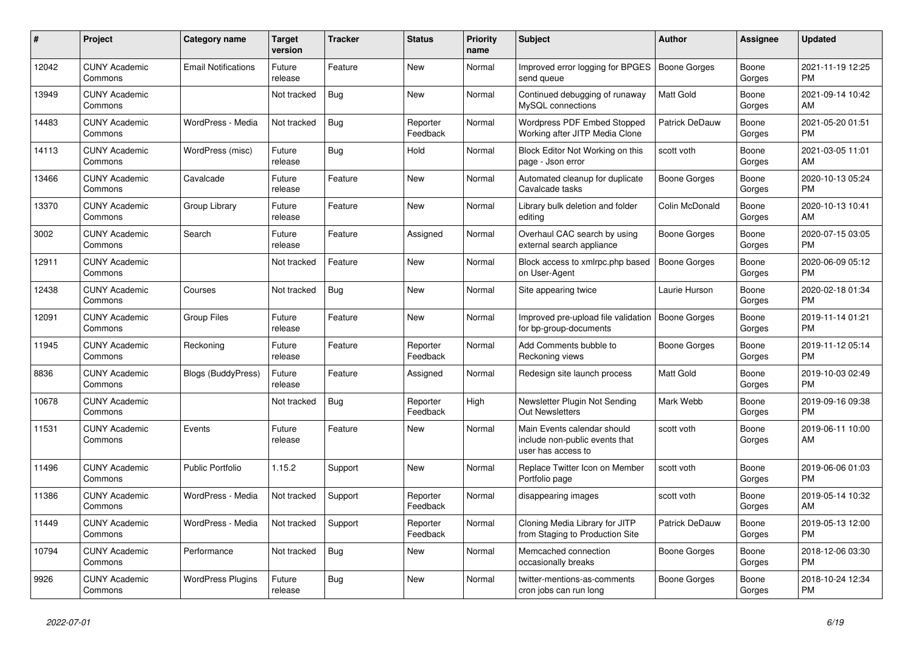| #     | Project                         | <b>Category name</b>       | <b>Target</b><br>version | <b>Tracker</b> | <b>Status</b>        | <b>Priority</b><br>name | <b>Subject</b>                                                                      | <b>Author</b>       | Assignee        | <b>Updated</b>                |
|-------|---------------------------------|----------------------------|--------------------------|----------------|----------------------|-------------------------|-------------------------------------------------------------------------------------|---------------------|-----------------|-------------------------------|
| 12042 | <b>CUNY Academic</b><br>Commons | <b>Email Notifications</b> | Future<br>release        | Feature        | New                  | Normal                  | Improved error logging for BPGES<br>send queue                                      | Boone Gorges        | Boone<br>Gorges | 2021-11-19 12:25<br><b>PM</b> |
| 13949 | <b>CUNY Academic</b><br>Commons |                            | Not tracked              | Bug            | New                  | Normal                  | Continued debugging of runaway<br>MySQL connections                                 | <b>Matt Gold</b>    | Boone<br>Gorges | 2021-09-14 10:42<br>AM        |
| 14483 | <b>CUNY Academic</b><br>Commons | WordPress - Media          | Not tracked              | Bug            | Reporter<br>Feedback | Normal                  | Wordpress PDF Embed Stopped<br>Working after JITP Media Clone                       | Patrick DeDauw      | Boone<br>Gorges | 2021-05-20 01:51<br><b>PM</b> |
| 14113 | <b>CUNY Academic</b><br>Commons | WordPress (misc)           | Future<br>release        | Bug            | Hold                 | Normal                  | Block Editor Not Working on this<br>page - Json error                               | scott voth          | Boone<br>Gorges | 2021-03-05 11:01<br>AM        |
| 13466 | <b>CUNY Academic</b><br>Commons | Cavalcade                  | Future<br>release        | Feature        | New                  | Normal                  | Automated cleanup for duplicate<br>Cavalcade tasks                                  | Boone Gorges        | Boone<br>Gorges | 2020-10-13 05:24<br><b>PM</b> |
| 13370 | <b>CUNY Academic</b><br>Commons | Group Library              | Future<br>release        | Feature        | New                  | Normal                  | Library bulk deletion and folder<br>editing                                         | Colin McDonald      | Boone<br>Gorges | 2020-10-13 10:41<br>AM        |
| 3002  | <b>CUNY Academic</b><br>Commons | Search                     | Future<br>release        | Feature        | Assigned             | Normal                  | Overhaul CAC search by using<br>external search appliance                           | Boone Gorges        | Boone<br>Gorges | 2020-07-15 03:05<br><b>PM</b> |
| 12911 | <b>CUNY Academic</b><br>Commons |                            | Not tracked              | Feature        | <b>New</b>           | Normal                  | Block access to xmlrpc.php based<br>on User-Agent                                   | Boone Gorges        | Boone<br>Gorges | 2020-06-09 05:12<br><b>PM</b> |
| 12438 | <b>CUNY Academic</b><br>Commons | Courses                    | Not tracked              | Bug            | New                  | Normal                  | Site appearing twice                                                                | Laurie Hurson       | Boone<br>Gorges | 2020-02-18 01:34<br><b>PM</b> |
| 12091 | <b>CUNY Academic</b><br>Commons | <b>Group Files</b>         | Future<br>release        | Feature        | New                  | Normal                  | Improved pre-upload file validation<br>for bp-group-documents                       | <b>Boone Gorges</b> | Boone<br>Gorges | 2019-11-14 01:21<br><b>PM</b> |
| 11945 | <b>CUNY Academic</b><br>Commons | Reckoning                  | Future<br>release        | Feature        | Reporter<br>Feedback | Normal                  | Add Comments bubble to<br>Reckoning views                                           | Boone Gorges        | Boone<br>Gorges | 2019-11-12 05:14<br><b>PM</b> |
| 8836  | <b>CUNY Academic</b><br>Commons | <b>Blogs (BuddyPress)</b>  | Future<br>release        | Feature        | Assigned             | Normal                  | Redesign site launch process                                                        | <b>Matt Gold</b>    | Boone<br>Gorges | 2019-10-03 02:49<br><b>PM</b> |
| 10678 | <b>CUNY Academic</b><br>Commons |                            | Not tracked              | <b>Bug</b>     | Reporter<br>Feedback | High                    | Newsletter Plugin Not Sending<br><b>Out Newsletters</b>                             | Mark Webb           | Boone<br>Gorges | 2019-09-16 09:38<br><b>PM</b> |
| 11531 | <b>CUNY Academic</b><br>Commons | Events                     | Future<br>release        | Feature        | New                  | Normal                  | Main Events calendar should<br>include non-public events that<br>user has access to | scott voth          | Boone<br>Gorges | 2019-06-11 10:00<br>AM        |
| 11496 | <b>CUNY Academic</b><br>Commons | <b>Public Portfolio</b>    | 1.15.2                   | Support        | New                  | Normal                  | Replace Twitter Icon on Member<br>Portfolio page                                    | scott voth          | Boone<br>Gorges | 2019-06-06 01:03<br>PM        |
| 11386 | <b>CUNY Academic</b><br>Commons | WordPress - Media          | Not tracked              | Support        | Reporter<br>Feedback | Normal                  | disappearing images                                                                 | scott voth          | Boone<br>Gorges | 2019-05-14 10:32<br>AM        |
| 11449 | <b>CUNY Academic</b><br>Commons | WordPress - Media          | Not tracked              | Support        | Reporter<br>Feedback | Normal                  | Cloning Media Library for JITP<br>from Staging to Production Site                   | Patrick DeDauw      | Boone<br>Gorges | 2019-05-13 12:00<br><b>PM</b> |
| 10794 | <b>CUNY Academic</b><br>Commons | Performance                | Not tracked              | <b>Bug</b>     | New                  | Normal                  | Memcached connection<br>occasionally breaks                                         | Boone Gorges        | Boone<br>Gorges | 2018-12-06 03:30<br><b>PM</b> |
| 9926  | <b>CUNY Academic</b><br>Commons | <b>WordPress Plugins</b>   | Future<br>release        | Bug            | <b>New</b>           | Normal                  | twitter-mentions-as-comments<br>cron jobs can run long                              | Boone Gorges        | Boone<br>Gorges | 2018-10-24 12:34<br><b>PM</b> |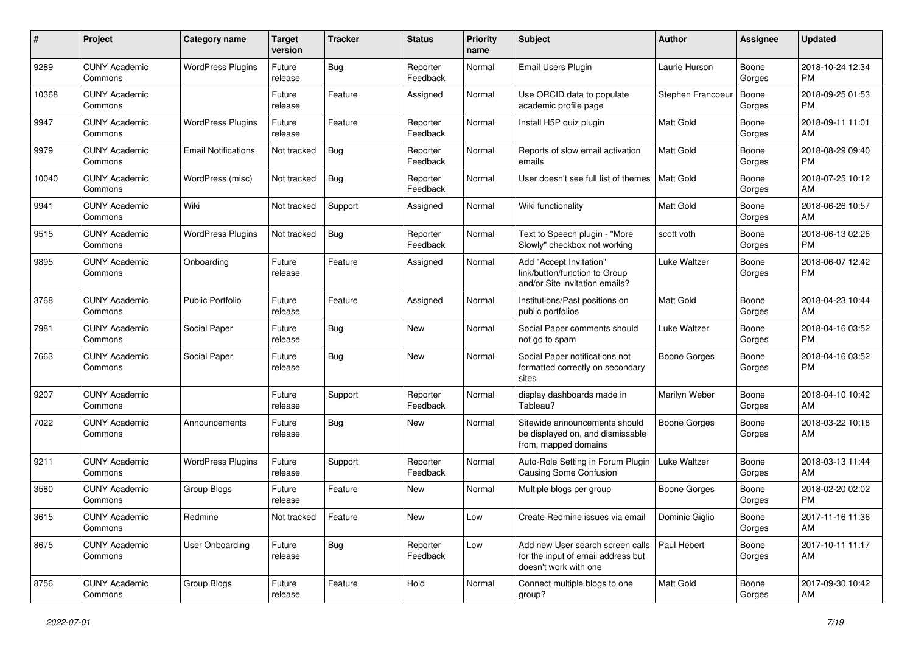| #     | Project                         | <b>Category name</b>       | <b>Target</b><br>version | <b>Tracker</b> | <b>Status</b>        | Priority<br>name | <b>Subject</b>                                                                                  | <b>Author</b>       | <b>Assignee</b> | <b>Updated</b>                |
|-------|---------------------------------|----------------------------|--------------------------|----------------|----------------------|------------------|-------------------------------------------------------------------------------------------------|---------------------|-----------------|-------------------------------|
| 9289  | <b>CUNY Academic</b><br>Commons | <b>WordPress Plugins</b>   | Future<br>release        | Bug            | Reporter<br>Feedback | Normal           | Email Users Plugin                                                                              | Laurie Hurson       | Boone<br>Gorges | 2018-10-24 12:34<br><b>PM</b> |
| 10368 | <b>CUNY Academic</b><br>Commons |                            | Future<br>release        | Feature        | Assigned             | Normal           | Use ORCID data to populate<br>academic profile page                                             | Stephen Francoeur   | Boone<br>Gorges | 2018-09-25 01:53<br><b>PM</b> |
| 9947  | <b>CUNY Academic</b><br>Commons | <b>WordPress Plugins</b>   | Future<br>release        | Feature        | Reporter<br>Feedback | Normal           | Install H5P quiz plugin                                                                         | Matt Gold           | Boone<br>Gorges | 2018-09-11 11:01<br>AM        |
| 9979  | <b>CUNY Academic</b><br>Commons | <b>Email Notifications</b> | Not tracked              | Bug            | Reporter<br>Feedback | Normal           | Reports of slow email activation<br>emails                                                      | Matt Gold           | Boone<br>Gorges | 2018-08-29 09:40<br><b>PM</b> |
| 10040 | <b>CUNY Academic</b><br>Commons | WordPress (misc)           | Not tracked              | Bug            | Reporter<br>Feedback | Normal           | User doesn't see full list of themes                                                            | <b>Matt Gold</b>    | Boone<br>Gorges | 2018-07-25 10:12<br>AM        |
| 9941  | <b>CUNY Academic</b><br>Commons | Wiki                       | Not tracked              | Support        | Assigned             | Normal           | Wiki functionality                                                                              | <b>Matt Gold</b>    | Boone<br>Gorges | 2018-06-26 10:57<br>AM        |
| 9515  | <b>CUNY Academic</b><br>Commons | <b>WordPress Plugins</b>   | Not tracked              | Bug            | Reporter<br>Feedback | Normal           | Text to Speech plugin - "More<br>Slowly" checkbox not working                                   | scott voth          | Boone<br>Gorges | 2018-06-13 02:26<br><b>PM</b> |
| 9895  | <b>CUNY Academic</b><br>Commons | Onboarding                 | Future<br>release        | Feature        | Assigned             | Normal           | Add "Accept Invitation"<br>link/button/function to Group<br>and/or Site invitation emails?      | <b>Luke Waltzer</b> | Boone<br>Gorges | 2018-06-07 12:42<br>PM.       |
| 3768  | <b>CUNY Academic</b><br>Commons | <b>Public Portfolio</b>    | Future<br>release        | Feature        | Assigned             | Normal           | Institutions/Past positions on<br>public portfolios                                             | Matt Gold           | Boone<br>Gorges | 2018-04-23 10:44<br>AM.       |
| 7981  | <b>CUNY Academic</b><br>Commons | Social Paper               | Future<br>release        | Bug            | New                  | Normal           | Social Paper comments should<br>not go to spam                                                  | Luke Waltzer        | Boone<br>Gorges | 2018-04-16 03:52<br><b>PM</b> |
| 7663  | <b>CUNY Academic</b><br>Commons | Social Paper               | Future<br>release        | Bug            | New                  | Normal           | Social Paper notifications not<br>formatted correctly on secondary<br>sites                     | Boone Gorges        | Boone<br>Gorges | 2018-04-16 03:52<br><b>PM</b> |
| 9207  | <b>CUNY Academic</b><br>Commons |                            | Future<br>release        | Support        | Reporter<br>Feedback | Normal           | display dashboards made in<br>Tableau?                                                          | Marilyn Weber       | Boone<br>Gorges | 2018-04-10 10:42<br>AM        |
| 7022  | <b>CUNY Academic</b><br>Commons | Announcements              | Future<br>release        | Bug            | <b>New</b>           | Normal           | Sitewide announcements should<br>be displayed on, and dismissable<br>from, mapped domains       | Boone Gorges        | Boone<br>Gorges | 2018-03-22 10:18<br>AM        |
| 9211  | <b>CUNY Academic</b><br>Commons | <b>WordPress Plugins</b>   | Future<br>release        | Support        | Reporter<br>Feedback | Normal           | Auto-Role Setting in Forum Plugin<br><b>Causing Some Confusion</b>                              | Luke Waltzer        | Boone<br>Gorges | 2018-03-13 11:44<br>AM        |
| 3580  | <b>CUNY Academic</b><br>Commons | Group Blogs                | Future<br>release        | Feature        | New                  | Normal           | Multiple blogs per group                                                                        | Boone Gorges        | Boone<br>Gorges | 2018-02-20 02:02<br><b>PM</b> |
| 3615  | <b>CUNY Academic</b><br>Commons | Redmine                    | Not tracked              | Feature        | New                  | Low              | Create Redmine issues via email                                                                 | Dominic Giglio      | Boone<br>Gorges | 2017-11-16 11:36<br>AM        |
| 8675  | <b>CUNY Academic</b><br>Commons | <b>User Onboarding</b>     | Future<br>release        | <b>Bug</b>     | Reporter<br>Feedback | Low              | Add new User search screen calls<br>for the input of email address but<br>doesn't work with one | Paul Hebert         | Boone<br>Gorges | 2017-10-11 11:17<br>AM        |
| 8756  | <b>CUNY Academic</b><br>Commons | Group Blogs                | Future<br>release        | Feature        | Hold                 | Normal           | Connect multiple blogs to one<br>group?                                                         | Matt Gold           | Boone<br>Gorges | 2017-09-30 10:42<br>AM        |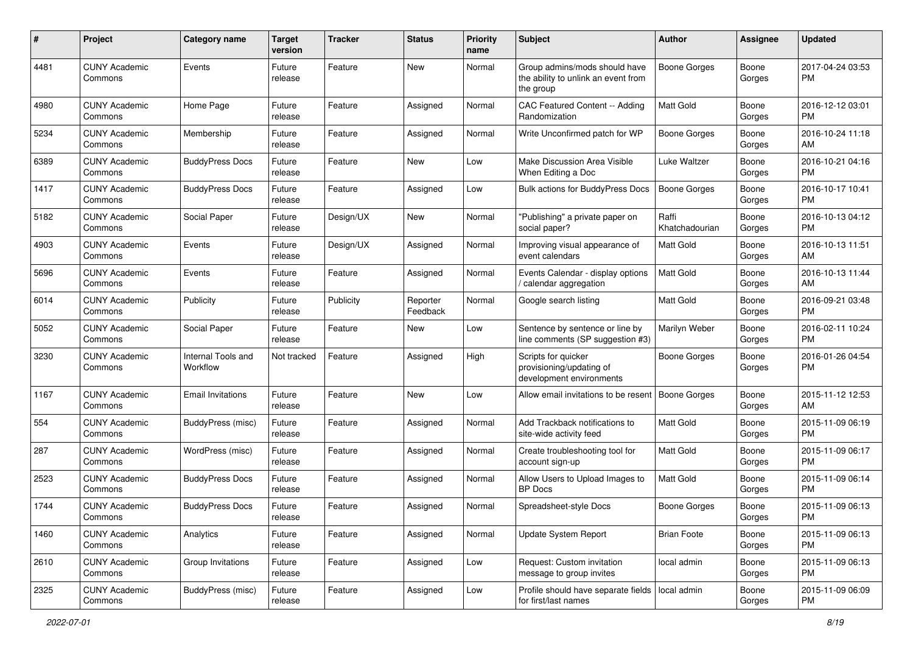| #    | Project                         | <b>Category name</b>           | <b>Target</b><br>version | <b>Tracker</b> | <b>Status</b>        | Priority<br>name | <b>Subject</b>                                                                    | Author                  | <b>Assignee</b> | <b>Updated</b>                |
|------|---------------------------------|--------------------------------|--------------------------|----------------|----------------------|------------------|-----------------------------------------------------------------------------------|-------------------------|-----------------|-------------------------------|
| 4481 | <b>CUNY Academic</b><br>Commons | Events                         | Future<br>release        | Feature        | New                  | Normal           | Group admins/mods should have<br>the ability to unlink an event from<br>the group | <b>Boone Gorges</b>     | Boone<br>Gorges | 2017-04-24 03:53<br><b>PM</b> |
| 4980 | <b>CUNY Academic</b><br>Commons | Home Page                      | Future<br>release        | Feature        | Assigned             | Normal           | CAC Featured Content -- Adding<br>Randomization                                   | <b>Matt Gold</b>        | Boone<br>Gorges | 2016-12-12 03:01<br>PM.       |
| 5234 | <b>CUNY Academic</b><br>Commons | Membership                     | Future<br>release        | Feature        | Assigned             | Normal           | Write Unconfirmed patch for WP                                                    | <b>Boone Gorges</b>     | Boone<br>Gorges | 2016-10-24 11:18<br>AM        |
| 6389 | <b>CUNY Academic</b><br>Commons | <b>BuddyPress Docs</b>         | Future<br>release        | Feature        | New                  | Low              | Make Discussion Area Visible<br>When Editing a Doc                                | Luke Waltzer            | Boone<br>Gorges | 2016-10-21 04:16<br><b>PM</b> |
| 1417 | <b>CUNY Academic</b><br>Commons | <b>BuddyPress Docs</b>         | Future<br>release        | Feature        | Assigned             | Low              | <b>Bulk actions for BuddyPress Docs</b>                                           | Boone Gorges            | Boone<br>Gorges | 2016-10-17 10:41<br><b>PM</b> |
| 5182 | <b>CUNY Academic</b><br>Commons | Social Paper                   | Future<br>release        | Design/UX      | New                  | Normal           | "Publishing" a private paper on<br>social paper?                                  | Raffi<br>Khatchadourian | Boone<br>Gorges | 2016-10-13 04:12<br><b>PM</b> |
| 4903 | <b>CUNY Academic</b><br>Commons | Events                         | Future<br>release        | Design/UX      | Assigned             | Normal           | Improving visual appearance of<br>event calendars                                 | <b>Matt Gold</b>        | Boone<br>Gorges | 2016-10-13 11:51<br>AM        |
| 5696 | <b>CUNY Academic</b><br>Commons | Events                         | Future<br>release        | Feature        | Assigned             | Normal           | Events Calendar - display options<br>/ calendar aggregation                       | <b>Matt Gold</b>        | Boone<br>Gorges | 2016-10-13 11:44<br>AM        |
| 6014 | <b>CUNY Academic</b><br>Commons | Publicity                      | Future<br>release        | Publicity      | Reporter<br>Feedback | Normal           | Google search listing                                                             | <b>Matt Gold</b>        | Boone<br>Gorges | 2016-09-21 03:48<br><b>PM</b> |
| 5052 | <b>CUNY Academic</b><br>Commons | Social Paper                   | Future<br>release        | Feature        | New                  | Low              | Sentence by sentence or line by<br>line comments (SP suggestion #3)               | Marilyn Weber           | Boone<br>Gorges | 2016-02-11 10:24<br><b>PM</b> |
| 3230 | <b>CUNY Academic</b><br>Commons | Internal Tools and<br>Workflow | Not tracked              | Feature        | Assigned             | High             | Scripts for quicker<br>provisioning/updating of<br>development environments       | Boone Gorges            | Boone<br>Gorges | 2016-01-26 04:54<br>PM        |
| 1167 | <b>CUNY Academic</b><br>Commons | Email Invitations              | Future<br>release        | Feature        | New                  | Low              | Allow email invitations to be resent                                              | Boone Gorges            | Boone<br>Gorges | 2015-11-12 12:53<br>AM        |
| 554  | <b>CUNY Academic</b><br>Commons | BuddyPress (misc)              | Future<br>release        | Feature        | Assigned             | Normal           | Add Trackback notifications to<br>site-wide activity feed                         | Matt Gold               | Boone<br>Gorges | 2015-11-09 06:19<br>PM        |
| 287  | <b>CUNY Academic</b><br>Commons | WordPress (misc)               | Future<br>release        | Feature        | Assigned             | Normal           | Create troubleshooting tool for<br>account sign-up                                | <b>Matt Gold</b>        | Boone<br>Gorges | 2015-11-09 06:17<br><b>PM</b> |
| 2523 | <b>CUNY Academic</b><br>Commons | <b>BuddyPress Docs</b>         | Future<br>release        | Feature        | Assigned             | Normal           | Allow Users to Upload Images to<br><b>BP</b> Docs                                 | <b>Matt Gold</b>        | Boone<br>Gorges | 2015-11-09 06:14<br><b>PM</b> |
| 1744 | <b>CUNY Academic</b><br>Commons | <b>BuddyPress Docs</b>         | Future<br>release        | Feature        | Assigned             | Normal           | Spreadsheet-style Docs                                                            | <b>Boone Gorges</b>     | Boone<br>Gorges | 2015-11-09 06:13<br>PM        |
| 1460 | <b>CUNY Academic</b><br>Commons | Analytics                      | Future<br>release        | Feature        | Assigned             | Normal           | Update System Report                                                              | <b>Brian Foote</b>      | Boone<br>Gorges | 2015-11-09 06:13<br><b>PM</b> |
| 2610 | <b>CUNY Academic</b><br>Commons | Group Invitations              | Future<br>release        | Feature        | Assigned             | Low              | Request: Custom invitation<br>message to group invites                            | local admin             | Boone<br>Gorges | 2015-11-09 06:13<br><b>PM</b> |
| 2325 | <b>CUNY Academic</b><br>Commons | BuddyPress (misc)              | Future<br>release        | Feature        | Assigned             | Low              | Profile should have separate fields   local admin<br>for first/last names         |                         | Boone<br>Gorges | 2015-11-09 06:09<br><b>PM</b> |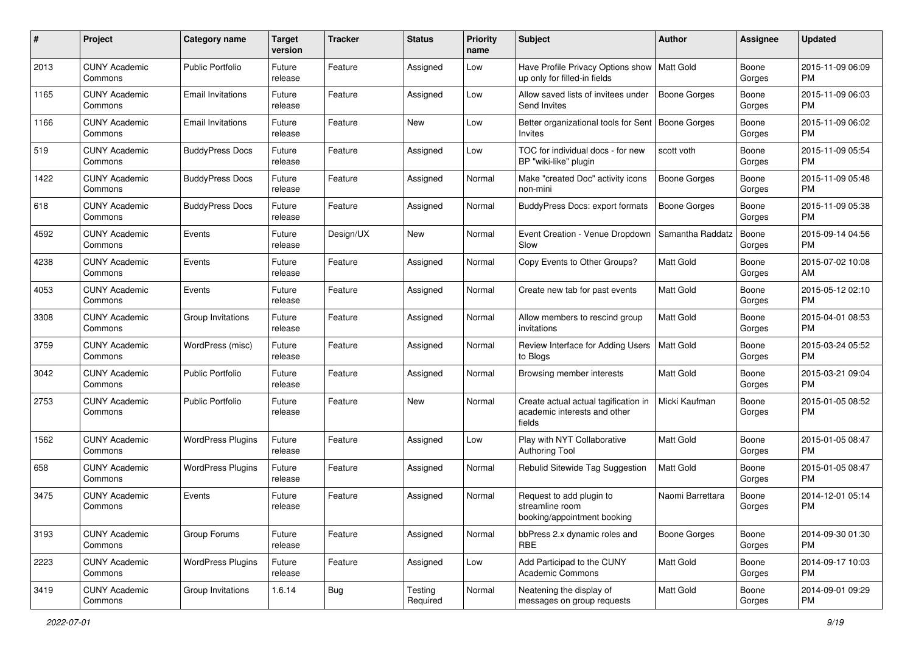| #    | Project                         | <b>Category name</b>     | <b>Target</b><br>version | <b>Tracker</b> | <b>Status</b>       | <b>Priority</b><br>name | <b>Subject</b>                                                                 | Author              | <b>Assignee</b> | <b>Updated</b>                |
|------|---------------------------------|--------------------------|--------------------------|----------------|---------------------|-------------------------|--------------------------------------------------------------------------------|---------------------|-----------------|-------------------------------|
| 2013 | <b>CUNY Academic</b><br>Commons | <b>Public Portfolio</b>  | Future<br>release        | Feature        | Assigned            | Low                     | Have Profile Privacy Options show<br>up only for filled-in fields              | Matt Gold           | Boone<br>Gorges | 2015-11-09 06:09<br>PM        |
| 1165 | <b>CUNY Academic</b><br>Commons | <b>Email Invitations</b> | Future<br>release        | Feature        | Assigned            | Low                     | Allow saved lists of invitees under<br>Send Invites                            | <b>Boone Gorges</b> | Boone<br>Gorges | 2015-11-09 06:03<br><b>PM</b> |
| 1166 | <b>CUNY Academic</b><br>Commons | <b>Email Invitations</b> | Future<br>release        | Feature        | New                 | Low                     | Better organizational tools for Sent<br>Invites                                | Boone Gorges        | Boone<br>Gorges | 2015-11-09 06:02<br><b>PM</b> |
| 519  | <b>CUNY Academic</b><br>Commons | <b>BuddyPress Docs</b>   | Future<br>release        | Feature        | Assigned            | Low                     | TOC for individual docs - for new<br>BP "wiki-like" plugin                     | scott voth          | Boone<br>Gorges | 2015-11-09 05:54<br><b>PM</b> |
| 1422 | <b>CUNY Academic</b><br>Commons | <b>BuddyPress Docs</b>   | Future<br>release        | Feature        | Assigned            | Normal                  | Make "created Doc" activity icons<br>non-mini                                  | Boone Gorges        | Boone<br>Gorges | 2015-11-09 05:48<br><b>PM</b> |
| 618  | <b>CUNY Academic</b><br>Commons | <b>BuddyPress Docs</b>   | Future<br>release        | Feature        | Assigned            | Normal                  | <b>BuddyPress Docs: export formats</b>                                         | <b>Boone Gorges</b> | Boone<br>Gorges | 2015-11-09 05:38<br><b>PM</b> |
| 4592 | <b>CUNY Academic</b><br>Commons | Events                   | Future<br>release        | Design/UX      | New                 | Normal                  | Event Creation - Venue Dropdown<br>Slow                                        | Samantha Raddatz    | Boone<br>Gorges | 2015-09-14 04:56<br><b>PM</b> |
| 4238 | <b>CUNY Academic</b><br>Commons | Events                   | Future<br>release        | Feature        | Assigned            | Normal                  | Copy Events to Other Groups?                                                   | <b>Matt Gold</b>    | Boone<br>Gorges | 2015-07-02 10:08<br>AM        |
| 4053 | <b>CUNY Academic</b><br>Commons | Events                   | Future<br>release        | Feature        | Assigned            | Normal                  | Create new tab for past events                                                 | <b>Matt Gold</b>    | Boone<br>Gorges | 2015-05-12 02:10<br><b>PM</b> |
| 3308 | <b>CUNY Academic</b><br>Commons | Group Invitations        | Future<br>release        | Feature        | Assigned            | Normal                  | Allow members to rescind group<br>invitations                                  | Matt Gold           | Boone<br>Gorges | 2015-04-01 08:53<br><b>PM</b> |
| 3759 | <b>CUNY Academic</b><br>Commons | WordPress (misc)         | Future<br>release        | Feature        | Assigned            | Normal                  | Review Interface for Adding Users<br>to Blogs                                  | Matt Gold           | Boone<br>Gorges | 2015-03-24 05:52<br><b>PM</b> |
| 3042 | <b>CUNY Academic</b><br>Commons | <b>Public Portfolio</b>  | Future<br>release        | Feature        | Assigned            | Normal                  | Browsing member interests                                                      | Matt Gold           | Boone<br>Gorges | 2015-03-21 09:04<br><b>PM</b> |
| 2753 | <b>CUNY Academic</b><br>Commons | <b>Public Portfolio</b>  | Future<br>release        | Feature        | New                 | Normal                  | Create actual actual tagification in<br>academic interests and other<br>fields | Micki Kaufman       | Boone<br>Gorges | 2015-01-05 08:52<br><b>PM</b> |
| 1562 | <b>CUNY Academic</b><br>Commons | <b>WordPress Plugins</b> | Future<br>release        | Feature        | Assigned            | Low                     | Play with NYT Collaborative<br><b>Authoring Tool</b>                           | Matt Gold           | Boone<br>Gorges | 2015-01-05 08:47<br><b>PM</b> |
| 658  | <b>CUNY Academic</b><br>Commons | <b>WordPress Plugins</b> | Future<br>release        | Feature        | Assigned            | Normal                  | Rebulid Sitewide Tag Suggestion                                                | <b>Matt Gold</b>    | Boone<br>Gorges | 2015-01-05 08:47<br><b>PM</b> |
| 3475 | <b>CUNY Academic</b><br>Commons | Events                   | Future<br>release        | Feature        | Assigned            | Normal                  | Request to add plugin to<br>streamline room<br>booking/appointment booking     | Naomi Barrettara    | Boone<br>Gorges | 2014-12-01 05:14<br><b>PM</b> |
| 3193 | <b>CUNY Academic</b><br>Commons | Group Forums             | Future<br>release        | Feature        | Assigned            | Normal                  | bbPress 2.x dynamic roles and<br>RBE                                           | <b>Boone Gorges</b> | Boone<br>Gorges | 2014-09-30 01:30<br><b>PM</b> |
| 2223 | <b>CUNY Academic</b><br>Commons | <b>WordPress Plugins</b> | Future<br>release        | Feature        | Assigned            | Low                     | Add Participad to the CUNY<br><b>Academic Commons</b>                          | Matt Gold           | Boone<br>Gorges | 2014-09-17 10:03<br><b>PM</b> |
| 3419 | <b>CUNY Academic</b><br>Commons | Group Invitations        | 1.6.14                   | <b>Bug</b>     | Testing<br>Required | Normal                  | Neatening the display of<br>messages on group requests                         | Matt Gold           | Boone<br>Gorges | 2014-09-01 09:29<br><b>PM</b> |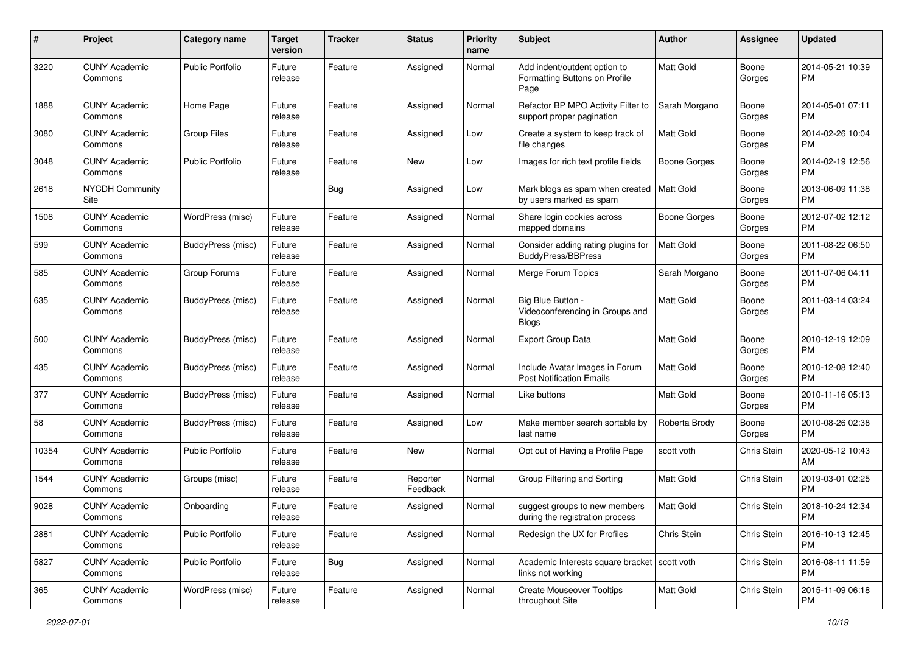| #     | Project                         | <b>Category name</b>     | <b>Target</b><br>version | <b>Tracker</b> | <b>Status</b>        | <b>Priority</b><br>name | Subject                                                               | <b>Author</b>    | <b>Assignee</b> | <b>Updated</b>                |
|-------|---------------------------------|--------------------------|--------------------------|----------------|----------------------|-------------------------|-----------------------------------------------------------------------|------------------|-----------------|-------------------------------|
| 3220  | <b>CUNY Academic</b><br>Commons | <b>Public Portfolio</b>  | Future<br>release        | Feature        | Assigned             | Normal                  | Add indent/outdent option to<br>Formatting Buttons on Profile<br>Page | <b>Matt Gold</b> | Boone<br>Gorges | 2014-05-21 10:39<br>PM.       |
| 1888  | <b>CUNY Academic</b><br>Commons | Home Page                | Future<br>release        | Feature        | Assigned             | Normal                  | Refactor BP MPO Activity Filter to<br>support proper pagination       | Sarah Morgano    | Boone<br>Gorges | 2014-05-01 07:11<br>PM.       |
| 3080  | <b>CUNY Academic</b><br>Commons | Group Files              | Future<br>release        | Feature        | Assigned             | Low                     | Create a system to keep track of<br>file changes                      | Matt Gold        | Boone<br>Gorges | 2014-02-26 10:04<br><b>PM</b> |
| 3048  | <b>CUNY Academic</b><br>Commons | Public Portfolio         | Future<br>release        | Feature        | New                  | Low                     | Images for rich text profile fields                                   | Boone Gorges     | Boone<br>Gorges | 2014-02-19 12:56<br><b>PM</b> |
| 2618  | <b>NYCDH Community</b><br>Site  |                          |                          | Bug            | Assigned             | Low                     | Mark blogs as spam when created<br>by users marked as spam            | Matt Gold        | Boone<br>Gorges | 2013-06-09 11:38<br>PM.       |
| 1508  | <b>CUNY Academic</b><br>Commons | WordPress (misc)         | Future<br>release        | Feature        | Assigned             | Normal                  | Share login cookies across<br>mapped domains                          | Boone Gorges     | Boone<br>Gorges | 2012-07-02 12:12<br><b>PM</b> |
| 599   | <b>CUNY Academic</b><br>Commons | BuddyPress (misc)        | Future<br>release        | Feature        | Assigned             | Normal                  | Consider adding rating plugins for<br>BuddyPress/BBPress              | <b>Matt Gold</b> | Boone<br>Gorges | 2011-08-22 06:50<br><b>PM</b> |
| 585   | <b>CUNY Academic</b><br>Commons | Group Forums             | Future<br>release        | Feature        | Assigned             | Normal                  | Merge Forum Topics                                                    | Sarah Morgano    | Boone<br>Gorges | 2011-07-06 04:11<br><b>PM</b> |
| 635   | <b>CUNY Academic</b><br>Commons | BuddyPress (misc)        | Future<br>release        | Feature        | Assigned             | Normal                  | Big Blue Button -<br>Videoconferencing in Groups and<br><b>Blogs</b>  | <b>Matt Gold</b> | Boone<br>Gorges | 2011-03-14 03:24<br>PM.       |
| 500   | <b>CUNY Academic</b><br>Commons | BuddyPress (misc)        | Future<br>release        | Feature        | Assigned             | Normal                  | Export Group Data                                                     | <b>Matt Gold</b> | Boone<br>Gorges | 2010-12-19 12:09<br>PM.       |
| 435   | <b>CUNY Academic</b><br>Commons | BuddyPress (misc)        | Future<br>release        | Feature        | Assigned             | Normal                  | Include Avatar Images in Forum<br><b>Post Notification Emails</b>     | <b>Matt Gold</b> | Boone<br>Gorges | 2010-12-08 12:40<br><b>PM</b> |
| 377   | <b>CUNY Academic</b><br>Commons | <b>BuddyPress (misc)</b> | Future<br>release        | Feature        | Assigned             | Normal                  | Like buttons                                                          | Matt Gold        | Boone<br>Gorges | 2010-11-16 05:13<br><b>PM</b> |
| 58    | <b>CUNY Academic</b><br>Commons | BuddyPress (misc)        | Future<br>release        | Feature        | Assigned             | Low                     | Make member search sortable by<br>last name                           | Roberta Brody    | Boone<br>Gorges | 2010-08-26 02:38<br>PM.       |
| 10354 | <b>CUNY Academic</b><br>Commons | Public Portfolio         | Future<br>release        | Feature        | New                  | Normal                  | Opt out of Having a Profile Page                                      | scott voth       | Chris Stein     | 2020-05-12 10:43<br>AM        |
| 1544  | <b>CUNY Academic</b><br>Commons | Groups (misc)            | Future<br>release        | Feature        | Reporter<br>Feedback | Normal                  | Group Filtering and Sorting                                           | Matt Gold        | Chris Stein     | 2019-03-01 02:25<br><b>PM</b> |
| 9028  | <b>CUNY Academic</b><br>Commons | Onboarding               | Future<br>release        | Feature        | Assigned             | Normal                  | suggest groups to new members<br>during the registration process      | <b>Matt Gold</b> | Chris Stein     | 2018-10-24 12:34<br><b>PM</b> |
| 2881  | <b>CUNY Academic</b><br>Commons | <b>Public Portfolio</b>  | Future<br>release        | Feature        | Assigned             | Normal                  | Redesign the UX for Profiles                                          | Chris Stein      | Chris Stein     | 2016-10-13 12:45<br><b>PM</b> |
| 5827  | <b>CUNY Academic</b><br>Commons | Public Portfolio         | Future<br>release        | <b>Bug</b>     | Assigned             | Normal                  | Academic Interests square bracket   scott voth<br>links not working   |                  | Chris Stein     | 2016-08-11 11:59<br><b>PM</b> |
| 365   | <b>CUNY Academic</b><br>Commons | WordPress (misc)         | Future<br>release        | Feature        | Assigned             | Normal                  | <b>Create Mouseover Tooltips</b><br>throughout Site                   | Matt Gold        | Chris Stein     | 2015-11-09 06:18<br><b>PM</b> |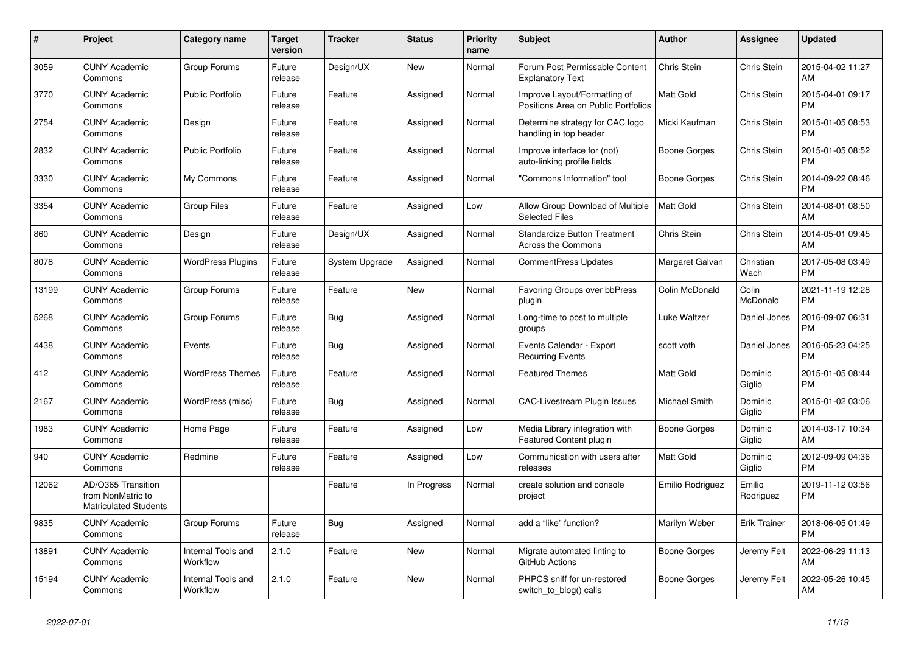| $\pmb{\#}$ | <b>Project</b>                                                          | <b>Category name</b>                  | <b>Target</b><br>version | <b>Tracker</b> | <b>Status</b> | <b>Priority</b><br>name | <b>Subject</b>                                                      | <b>Author</b>    | Assignee            | <b>Updated</b>                |
|------------|-------------------------------------------------------------------------|---------------------------------------|--------------------------|----------------|---------------|-------------------------|---------------------------------------------------------------------|------------------|---------------------|-------------------------------|
| 3059       | <b>CUNY Academic</b><br>Commons                                         | Group Forums                          | Future<br>release        | Design/UX      | New           | Normal                  | Forum Post Permissable Content<br><b>Explanatory Text</b>           | Chris Stein      | Chris Stein         | 2015-04-02 11:27<br>AM        |
| 3770       | <b>CUNY Academic</b><br>Commons                                         | <b>Public Portfolio</b>               | Future<br>release        | Feature        | Assigned      | Normal                  | Improve Layout/Formatting of<br>Positions Area on Public Portfolios | Matt Gold        | Chris Stein         | 2015-04-01 09:17<br><b>PM</b> |
| 2754       | <b>CUNY Academic</b><br>Commons                                         | Design                                | Future<br>release        | Feature        | Assigned      | Normal                  | Determine strategy for CAC logo<br>handling in top header           | Micki Kaufman    | Chris Stein         | 2015-01-05 08:53<br><b>PM</b> |
| 2832       | <b>CUNY Academic</b><br>Commons                                         | <b>Public Portfolio</b>               | Future<br>release        | Feature        | Assigned      | Normal                  | Improve interface for (not)<br>auto-linking profile fields          | Boone Gorges     | Chris Stein         | 2015-01-05 08:52<br><b>PM</b> |
| 3330       | <b>CUNY Academic</b><br>Commons                                         | My Commons                            | Future<br>release        | Feature        | Assigned      | Normal                  | "Commons Information" tool                                          | Boone Gorges     | Chris Stein         | 2014-09-22 08:46<br><b>PM</b> |
| 3354       | <b>CUNY Academic</b><br>Commons                                         | <b>Group Files</b>                    | Future<br>release        | Feature        | Assigned      | Low                     | Allow Group Download of Multiple<br><b>Selected Files</b>           | <b>Matt Gold</b> | Chris Stein         | 2014-08-01 08:50<br>AM        |
| 860        | <b>CUNY Academic</b><br>Commons                                         | Design                                | Future<br>release        | Design/UX      | Assigned      | Normal                  | <b>Standardize Button Treatment</b><br><b>Across the Commons</b>    | Chris Stein      | Chris Stein         | 2014-05-01 09:45<br>AM        |
| 8078       | <b>CUNY Academic</b><br>Commons                                         | <b>WordPress Plugins</b>              | Future<br>release        | System Upgrade | Assigned      | Normal                  | <b>CommentPress Updates</b>                                         | Margaret Galvan  | Christian<br>Wach   | 2017-05-08 03:49<br><b>PM</b> |
| 13199      | <b>CUNY Academic</b><br>Commons                                         | Group Forums                          | Future<br>release        | Feature        | New           | Normal                  | Favoring Groups over bbPress<br>plugin                              | Colin McDonald   | Colin<br>McDonald   | 2021-11-19 12:28<br><b>PM</b> |
| 5268       | <b>CUNY Academic</b><br>Commons                                         | Group Forums                          | Future<br>release        | <b>Bug</b>     | Assigned      | Normal                  | Long-time to post to multiple<br>groups                             | Luke Waltzer     | Daniel Jones        | 2016-09-07 06:31<br><b>PM</b> |
| 4438       | <b>CUNY Academic</b><br>Commons                                         | Events                                | Future<br>release        | Bug            | Assigned      | Normal                  | Events Calendar - Export<br><b>Recurring Events</b>                 | scott voth       | Daniel Jones        | 2016-05-23 04:25<br><b>PM</b> |
| 412        | <b>CUNY Academic</b><br>Commons                                         | <b>WordPress Themes</b>               | Future<br>release        | Feature        | Assigned      | Normal                  | <b>Featured Themes</b>                                              | Matt Gold        | Dominic<br>Giglio   | 2015-01-05 08:44<br><b>PM</b> |
| 2167       | <b>CUNY Academic</b><br>Commons                                         | WordPress (misc)                      | Future<br>release        | Bug            | Assigned      | Normal                  | <b>CAC-Livestream Plugin Issues</b>                                 | Michael Smith    | Dominic<br>Giglio   | 2015-01-02 03:06<br><b>PM</b> |
| 1983       | <b>CUNY Academic</b><br>Commons                                         | Home Page                             | Future<br>release        | Feature        | Assigned      | Low                     | Media Library integration with<br>Featured Content plugin           | Boone Gorges     | Dominic<br>Giglio   | 2014-03-17 10:34<br>AM        |
| 940        | <b>CUNY Academic</b><br>Commons                                         | Redmine                               | Future<br>release        | Feature        | Assigned      | Low                     | Communication with users after<br>releases                          | Matt Gold        | Dominic<br>Giglio   | 2012-09-09 04:36<br><b>PM</b> |
| 12062      | AD/O365 Transition<br>from NonMatric to<br><b>Matriculated Students</b> |                                       |                          | Feature        | In Progress   | Normal                  | create solution and console<br>project                              | Emilio Rodriguez | Emilio<br>Rodriguez | 2019-11-12 03:56<br><b>PM</b> |
| 9835       | <b>CUNY Academic</b><br>Commons                                         | Group Forums                          | Future<br>release        | Bug            | Assigned      | Normal                  | add a "like" function?                                              | Marilyn Weber    | Erik Trainer        | 2018-06-05 01:49<br><b>PM</b> |
| 13891      | <b>CUNY Academic</b><br>Commons                                         | <b>Internal Tools and</b><br>Workflow | 2.1.0                    | Feature        | New           | Normal                  | Migrate automated linting to<br>GitHub Actions                      | Boone Gorges     | Jeremy Felt         | 2022-06-29 11:13<br>AM        |
| 15194      | CUNY Academic<br>Commons                                                | Internal Tools and<br>Workflow        | 2.1.0                    | Feature        | <b>New</b>    | Normal                  | PHPCS sniff for un-restored<br>switch_to_blog() calls               | Boone Gorges     | Jeremy Felt         | 2022-05-26 10:45<br>AM        |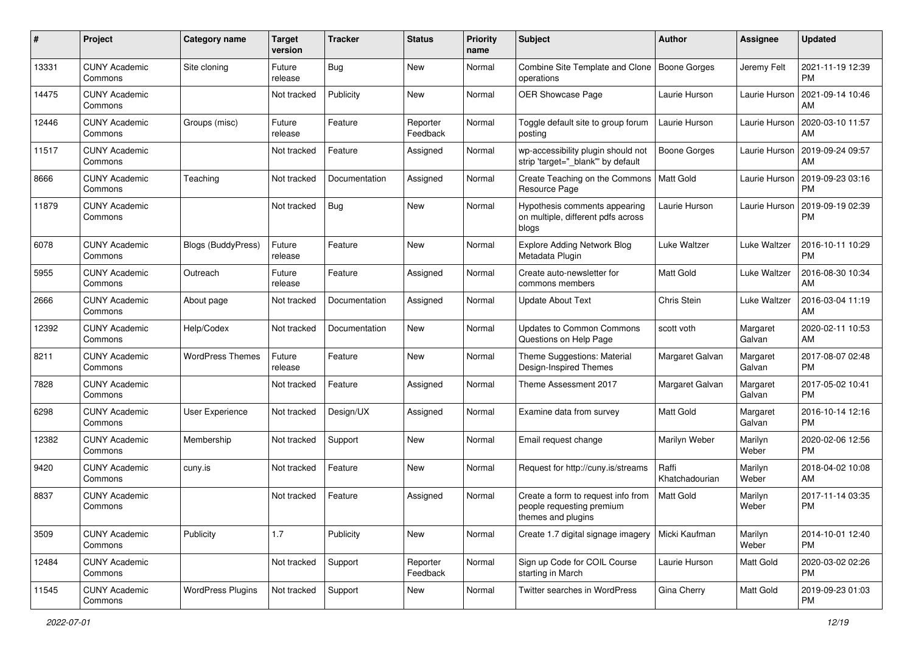| #     | Project                         | <b>Category name</b>      | <b>Target</b><br>version | <b>Tracker</b> | <b>Status</b>        | <b>Priority</b><br>name | <b>Subject</b>                                                                        | <b>Author</b>           | <b>Assignee</b>    | <b>Updated</b>                |
|-------|---------------------------------|---------------------------|--------------------------|----------------|----------------------|-------------------------|---------------------------------------------------------------------------------------|-------------------------|--------------------|-------------------------------|
| 13331 | <b>CUNY Academic</b><br>Commons | Site cloning              | Future<br>release        | <b>Bug</b>     | New                  | Normal                  | Combine Site Template and Clone<br>operations                                         | Boone Gorges            | Jeremy Felt        | 2021-11-19 12:39<br>PM        |
| 14475 | <b>CUNY Academic</b><br>Commons |                           | Not tracked              | Publicity      | New                  | Normal                  | OER Showcase Page                                                                     | Laurie Hurson           | Laurie Hurson      | 2021-09-14 10:46<br>AM        |
| 12446 | <b>CUNY Academic</b><br>Commons | Groups (misc)             | Future<br>release        | Feature        | Reporter<br>Feedback | Normal                  | Toggle default site to group forum<br>posting                                         | Laurie Hurson           | Laurie Hurson      | 2020-03-10 11:57<br>AM        |
| 11517 | <b>CUNY Academic</b><br>Commons |                           | Not tracked              | Feature        | Assigned             | Normal                  | wp-accessibility plugin should not<br>strip 'target=" blank" by default               | Boone Gorges            | Laurie Hurson      | 2019-09-24 09:57<br>AM        |
| 8666  | <b>CUNY Academic</b><br>Commons | Teaching                  | Not tracked              | Documentation  | Assigned             | Normal                  | Create Teaching on the Commons<br>Resource Page                                       | Matt Gold               | Laurie Hurson      | 2019-09-23 03:16<br><b>PM</b> |
| 11879 | <b>CUNY Academic</b><br>Commons |                           | Not tracked              | <b>Bug</b>     | New                  | Normal                  | Hypothesis comments appearing<br>on multiple, different pdfs across<br>blogs          | Laurie Hurson           | Laurie Hurson      | 2019-09-19 02:39<br><b>PM</b> |
| 6078  | <b>CUNY Academic</b><br>Commons | <b>Blogs (BuddyPress)</b> | Future<br>release        | Feature        | New                  | Normal                  | <b>Explore Adding Network Blog</b><br>Metadata Plugin                                 | Luke Waltzer            | Luke Waltzer       | 2016-10-11 10:29<br><b>PM</b> |
| 5955  | <b>CUNY Academic</b><br>Commons | Outreach                  | Future<br>release        | Feature        | Assigned             | Normal                  | Create auto-newsletter for<br>commons members                                         | <b>Matt Gold</b>        | Luke Waltzer       | 2016-08-30 10:34<br>AM        |
| 2666  | <b>CUNY Academic</b><br>Commons | About page                | Not tracked              | Documentation  | Assigned             | Normal                  | <b>Update About Text</b>                                                              | Chris Stein             | Luke Waltzer       | 2016-03-04 11:19<br>AM        |
| 12392 | <b>CUNY Academic</b><br>Commons | Help/Codex                | Not tracked              | Documentation  | New                  | Normal                  | <b>Updates to Common Commons</b><br>Questions on Help Page                            | scott voth              | Margaret<br>Galvan | 2020-02-11 10:53<br>AM        |
| 8211  | <b>CUNY Academic</b><br>Commons | <b>WordPress Themes</b>   | Future<br>release        | Feature        | New                  | Normal                  | Theme Suggestions: Material<br>Design-Inspired Themes                                 | Margaret Galvan         | Margaret<br>Galvan | 2017-08-07 02:48<br><b>PM</b> |
| 7828  | <b>CUNY Academic</b><br>Commons |                           | Not tracked              | Feature        | Assigned             | Normal                  | Theme Assessment 2017                                                                 | Margaret Galvan         | Margaret<br>Galvan | 2017-05-02 10:41<br><b>PM</b> |
| 6298  | <b>CUNY Academic</b><br>Commons | User Experience           | Not tracked              | Design/UX      | Assigned             | Normal                  | Examine data from survey                                                              | <b>Matt Gold</b>        | Margaret<br>Galvan | 2016-10-14 12:16<br><b>PM</b> |
| 12382 | <b>CUNY Academic</b><br>Commons | Membership                | Not tracked              | Support        | New                  | Normal                  | Email request change                                                                  | Marilyn Weber           | Marilyn<br>Weber   | 2020-02-06 12:56<br><b>PM</b> |
| 9420  | <b>CUNY Academic</b><br>Commons | cuny.is                   | Not tracked              | Feature        | New                  | Normal                  | Request for http://cuny.is/streams                                                    | Raffi<br>Khatchadourian | Marilyn<br>Weber   | 2018-04-02 10:08<br>AM        |
| 8837  | <b>CUNY Academic</b><br>Commons |                           | Not tracked              | Feature        | Assigned             | Normal                  | Create a form to request info from<br>people requesting premium<br>themes and plugins | <b>Matt Gold</b>        | Marilyn<br>Weber   | 2017-11-14 03:35<br><b>PM</b> |
| 3509  | <b>CUNY Academic</b><br>Commons | Publicity                 | 1.7                      | Publicity      | New                  | Normal                  | Create 1.7 digital signage imagery                                                    | Micki Kaufman           | Marilyn<br>Weber   | 2014-10-01 12:40<br><b>PM</b> |
| 12484 | <b>CUNY Academic</b><br>Commons |                           | Not tracked              | Support        | Reporter<br>Feedback | Normal                  | Sign up Code for COIL Course<br>starting in March                                     | Laurie Hurson           | Matt Gold          | 2020-03-02 02:26<br><b>PM</b> |
| 11545 | <b>CUNY Academic</b><br>Commons | <b>WordPress Plugins</b>  | Not tracked              | Support        | New                  | Normal                  | Twitter searches in WordPress                                                         | Gina Cherry             | Matt Gold          | 2019-09-23 01:03<br>PM        |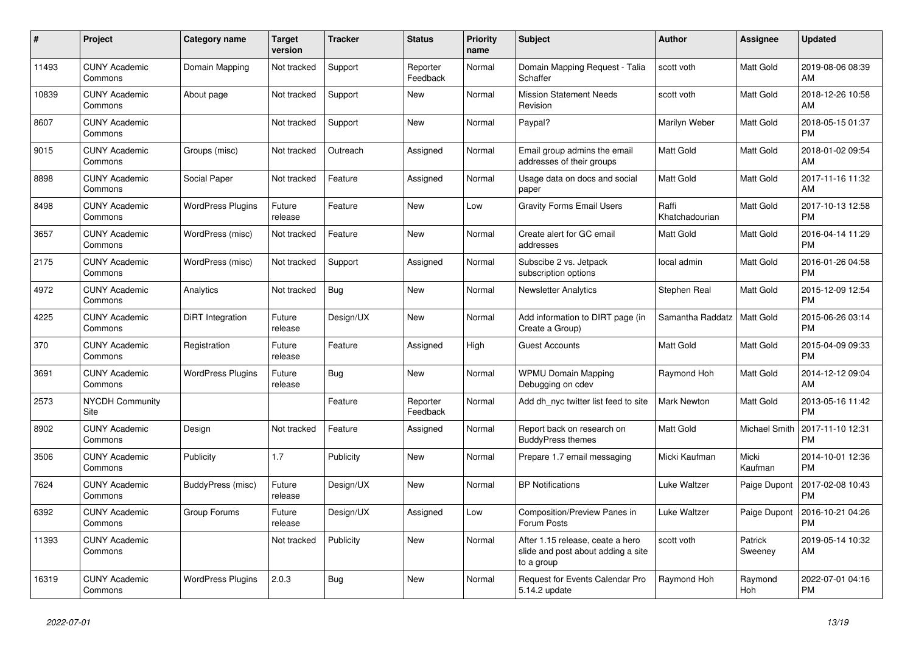| #     | Project                         | Category name            | <b>Target</b><br>version | Tracker    | <b>Status</b>        | <b>Priority</b><br>name | <b>Subject</b>                                                                       | <b>Author</b>           | <b>Assignee</b>    | <b>Updated</b>                |
|-------|---------------------------------|--------------------------|--------------------------|------------|----------------------|-------------------------|--------------------------------------------------------------------------------------|-------------------------|--------------------|-------------------------------|
| 11493 | <b>CUNY Academic</b><br>Commons | Domain Mapping           | Not tracked              | Support    | Reporter<br>Feedback | Normal                  | Domain Mapping Request - Talia<br>Schaffer                                           | scott voth              | <b>Matt Gold</b>   | 2019-08-06 08:39<br>AM        |
| 10839 | <b>CUNY Academic</b><br>Commons | About page               | Not tracked              | Support    | New                  | Normal                  | <b>Mission Statement Needs</b><br>Revision                                           | scott voth              | Matt Gold          | 2018-12-26 10:58<br>AM        |
| 8607  | <b>CUNY Academic</b><br>Commons |                          | Not tracked              | Support    | <b>New</b>           | Normal                  | Paypal?                                                                              | Marilyn Weber           | Matt Gold          | 2018-05-15 01:37<br><b>PM</b> |
| 9015  | <b>CUNY Academic</b><br>Commons | Groups (misc)            | Not tracked              | Outreach   | Assigned             | Normal                  | Email group admins the email<br>addresses of their groups                            | Matt Gold               | <b>Matt Gold</b>   | 2018-01-02 09:54<br>AM        |
| 8898  | <b>CUNY Academic</b><br>Commons | Social Paper             | Not tracked              | Feature    | Assigned             | Normal                  | Usage data on docs and social<br>paper                                               | Matt Gold               | Matt Gold          | 2017-11-16 11:32<br>AM        |
| 8498  | <b>CUNY Academic</b><br>Commons | <b>WordPress Plugins</b> | Future<br>release        | Feature    | New                  | Low                     | <b>Gravity Forms Email Users</b>                                                     | Raffi<br>Khatchadourian | Matt Gold          | 2017-10-13 12:58<br><b>PM</b> |
| 3657  | <b>CUNY Academic</b><br>Commons | WordPress (misc)         | Not tracked              | Feature    | New                  | Normal                  | Create alert for GC email<br>addresses                                               | <b>Matt Gold</b>        | Matt Gold          | 2016-04-14 11:29<br><b>PM</b> |
| 2175  | <b>CUNY Academic</b><br>Commons | WordPress (misc)         | Not tracked              | Support    | Assigned             | Normal                  | Subscibe 2 vs. Jetpack<br>subscription options                                       | local admin             | Matt Gold          | 2016-01-26 04:58<br><b>PM</b> |
| 4972  | <b>CUNY Academic</b><br>Commons | Analytics                | Not tracked              | Bug        | <b>New</b>           | Normal                  | <b>Newsletter Analytics</b>                                                          | Stephen Real            | Matt Gold          | 2015-12-09 12:54<br><b>PM</b> |
| 4225  | <b>CUNY Academic</b><br>Commons | DiRT Integration         | Future<br>release        | Design/UX  | <b>New</b>           | Normal                  | Add information to DIRT page (in<br>Create a Group)                                  | Samantha Raddatz        | <b>Matt Gold</b>   | 2015-06-26 03:14<br><b>PM</b> |
| 370   | <b>CUNY Academic</b><br>Commons | Registration             | Future<br>release        | Feature    | Assigned             | High                    | <b>Guest Accounts</b>                                                                | Matt Gold               | Matt Gold          | 2015-04-09 09:33<br><b>PM</b> |
| 3691  | <b>CUNY Academic</b><br>Commons | <b>WordPress Plugins</b> | Future<br>release        | <b>Bug</b> | <b>New</b>           | Normal                  | <b>WPMU Domain Mapping</b><br>Debugging on cdev                                      | Raymond Hoh             | Matt Gold          | 2014-12-12 09:04<br>AM        |
| 2573  | <b>NYCDH Community</b><br>Site  |                          |                          | Feature    | Reporter<br>Feedback | Normal                  | Add dh nyc twitter list feed to site                                                 | <b>Mark Newton</b>      | Matt Gold          | 2013-05-16 11:42<br><b>PM</b> |
| 8902  | <b>CUNY Academic</b><br>Commons | Design                   | Not tracked              | Feature    | Assigned             | Normal                  | Report back on research on<br><b>BuddyPress themes</b>                               | <b>Matt Gold</b>        | Michael Smith      | 2017-11-10 12:31<br><b>PM</b> |
| 3506  | <b>CUNY Academic</b><br>Commons | Publicity                | 1.7                      | Publicity  | <b>New</b>           | Normal                  | Prepare 1.7 email messaging                                                          | Micki Kaufman           | Micki<br>Kaufman   | 2014-10-01 12:36<br><b>PM</b> |
| 7624  | <b>CUNY Academic</b><br>Commons | BuddyPress (misc)        | Future<br>release        | Design/UX  | <b>New</b>           | Normal                  | <b>BP</b> Notifications                                                              | Luke Waltzer            | Paige Dupont       | 2017-02-08 10:43<br><b>PM</b> |
| 6392  | <b>CUNY Academic</b><br>Commons | Group Forums             | Future<br>release        | Design/UX  | Assigned             | Low                     | Composition/Preview Panes in<br>Forum Posts                                          | Luke Waltzer            | Paige Dupont       | 2016-10-21 04:26<br><b>PM</b> |
| 11393 | <b>CUNY Academic</b><br>Commons |                          | Not tracked              | Publicity  | New                  | Normal                  | After 1.15 release, ceate a hero<br>slide and post about adding a site<br>to a group | scott voth              | Patrick<br>Sweeney | 2019-05-14 10:32<br>AM        |
| 16319 | <b>CUNY Academic</b><br>Commons | <b>WordPress Plugins</b> | 2.0.3                    | Bug        | <b>New</b>           | Normal                  | <b>Request for Events Calendar Pro</b><br>5.14.2 update                              | Raymond Hoh             | Raymond<br>Hoh     | 2022-07-01 04:16<br><b>PM</b> |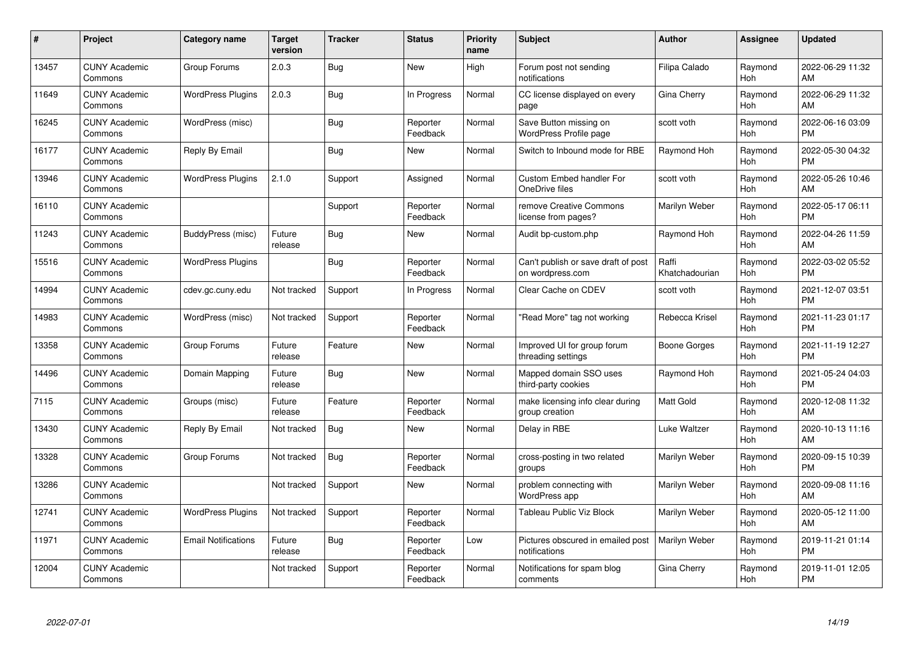| #     | Project                         | <b>Category name</b>       | <b>Target</b><br>version | <b>Tracker</b> | <b>Status</b>        | Priority<br>name | <b>Subject</b>                                          | <b>Author</b>           | <b>Assignee</b> | <b>Updated</b>                |
|-------|---------------------------------|----------------------------|--------------------------|----------------|----------------------|------------------|---------------------------------------------------------|-------------------------|-----------------|-------------------------------|
| 13457 | <b>CUNY Academic</b><br>Commons | Group Forums               | 2.0.3                    | Bug            | <b>New</b>           | High             | Forum post not sending<br>notifications                 | Filipa Calado           | Raymond<br>Hoh  | 2022-06-29 11:32<br>AM        |
| 11649 | <b>CUNY Academic</b><br>Commons | <b>WordPress Plugins</b>   | 2.0.3                    | <b>Bug</b>     | In Progress          | Normal           | CC license displayed on every<br>page                   | Gina Cherry             | Raymond<br>Hoh  | 2022-06-29 11:32<br>AM        |
| 16245 | <b>CUNY Academic</b><br>Commons | WordPress (misc)           |                          | <b>Bug</b>     | Reporter<br>Feedback | Normal           | Save Button missing on<br><b>WordPress Profile page</b> | scott voth              | Raymond<br>Hoh  | 2022-06-16 03:09<br><b>PM</b> |
| 16177 | <b>CUNY Academic</b><br>Commons | Reply By Email             |                          | Bug            | <b>New</b>           | Normal           | Switch to Inbound mode for RBE                          | Raymond Hoh             | Raymond<br>Hoh  | 2022-05-30 04:32<br><b>PM</b> |
| 13946 | <b>CUNY Academic</b><br>Commons | <b>WordPress Plugins</b>   | 2.1.0                    | Support        | Assigned             | Normal           | Custom Embed handler For<br>OneDrive files              | scott voth              | Raymond<br>Hoh  | 2022-05-26 10:46<br>AM        |
| 16110 | <b>CUNY Academic</b><br>Commons |                            |                          | Support        | Reporter<br>Feedback | Normal           | remove Creative Commons<br>license from pages?          | Marilyn Weber           | Raymond<br>Hoh  | 2022-05-17 06:11<br><b>PM</b> |
| 11243 | <b>CUNY Academic</b><br>Commons | BuddyPress (misc)          | Future<br>release        | Bug            | New                  | Normal           | Audit bp-custom.php                                     | Raymond Hoh             | Raymond<br>Hoh  | 2022-04-26 11:59<br>AM        |
| 15516 | <b>CUNY Academic</b><br>Commons | <b>WordPress Plugins</b>   |                          | Bug            | Reporter<br>Feedback | Normal           | Can't publish or save draft of post<br>on wordpress.com | Raffi<br>Khatchadourian | Raymond<br>Hoh  | 2022-03-02 05:52<br><b>PM</b> |
| 14994 | <b>CUNY Academic</b><br>Commons | cdev.gc.cuny.edu           | Not tracked              | Support        | In Progress          | Normal           | Clear Cache on CDEV                                     | scott voth              | Raymond<br>Hoh  | 2021-12-07 03:51<br><b>PM</b> |
| 14983 | <b>CUNY Academic</b><br>Commons | WordPress (misc)           | Not tracked              | Support        | Reporter<br>Feedback | Normal           | "Read More" tag not working                             | Rebecca Krisel          | Raymond<br>Hoh  | 2021-11-23 01:17<br><b>PM</b> |
| 13358 | <b>CUNY Academic</b><br>Commons | Group Forums               | Future<br>release        | Feature        | New                  | Normal           | Improved UI for group forum<br>threading settings       | Boone Gorges            | Raymond<br>Hoh  | 2021-11-19 12:27<br><b>PM</b> |
| 14496 | <b>CUNY Academic</b><br>Commons | Domain Mapping             | Future<br>release        | <b>Bug</b>     | New                  | Normal           | Mapped domain SSO uses<br>third-party cookies           | Raymond Hoh             | Raymond<br>Hoh  | 2021-05-24 04:03<br><b>PM</b> |
| 7115  | <b>CUNY Academic</b><br>Commons | Groups (misc)              | Future<br>release        | Feature        | Reporter<br>Feedback | Normal           | make licensing info clear during<br>group creation      | Matt Gold               | Raymond<br>Hoh  | 2020-12-08 11:32<br>AM        |
| 13430 | <b>CUNY Academic</b><br>Commons | Reply By Email             | Not tracked              | Bug            | New                  | Normal           | Delay in RBE                                            | Luke Waltzer            | Raymond<br>Hoh  | 2020-10-13 11:16<br>AM        |
| 13328 | <b>CUNY Academic</b><br>Commons | Group Forums               | Not tracked              | Bug            | Reporter<br>Feedback | Normal           | cross-posting in two related<br>groups                  | Marilyn Weber           | Raymond<br>Hoh  | 2020-09-15 10:39<br><b>PM</b> |
| 13286 | <b>CUNY Academic</b><br>Commons |                            | Not tracked              | Support        | New                  | Normal           | problem connecting with<br>WordPress app                | Marilyn Weber           | Raymond<br>Hoh  | 2020-09-08 11:16<br>AM        |
| 12741 | <b>CUNY Academic</b><br>Commons | <b>WordPress Plugins</b>   | Not tracked              | Support        | Reporter<br>Feedback | Normal           | Tableau Public Viz Block                                | Marilyn Weber           | Raymond<br>Hoh  | 2020-05-12 11:00<br>AM        |
| 11971 | <b>CUNY Academic</b><br>Commons | <b>Email Notifications</b> | Future<br>release        | Bug            | Reporter<br>Feedback | Low              | Pictures obscured in emailed post<br>notifications      | Marilyn Weber           | Raymond<br>Hoh  | 2019-11-21 01:14<br><b>PM</b> |
| 12004 | CUNY Academic<br>Commons        |                            | Not tracked              | Support        | Reporter<br>Feedback | Normal           | Notifications for spam blog<br>comments                 | Gina Cherry             | Raymond<br>Hoh  | 2019-11-01 12:05<br><b>PM</b> |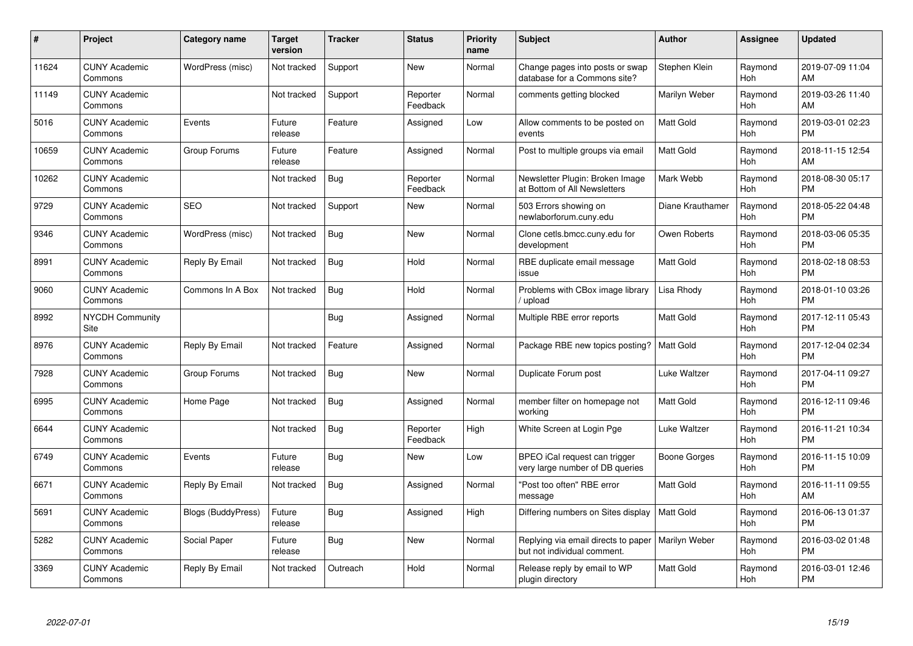| #     | <b>Project</b>                  | Category name             | Target<br>version | <b>Tracker</b> | <b>Status</b>        | <b>Priority</b><br>name | <b>Subject</b>                                                     | <b>Author</b>    | Assignee       | <b>Updated</b>                |
|-------|---------------------------------|---------------------------|-------------------|----------------|----------------------|-------------------------|--------------------------------------------------------------------|------------------|----------------|-------------------------------|
| 11624 | <b>CUNY Academic</b><br>Commons | WordPress (misc)          | Not tracked       | Support        | <b>New</b>           | Normal                  | Change pages into posts or swap<br>database for a Commons site?    | Stephen Klein    | Raymond<br>Hoh | 2019-07-09 11:04<br>AM        |
| 11149 | <b>CUNY Academic</b><br>Commons |                           | Not tracked       | Support        | Reporter<br>Feedback | Normal                  | comments getting blocked                                           | Marilyn Weber    | Raymond<br>Hoh | 2019-03-26 11:40<br>AM        |
| 5016  | <b>CUNY Academic</b><br>Commons | Events                    | Future<br>release | Feature        | Assigned             | Low                     | Allow comments to be posted on<br>events                           | Matt Gold        | Raymond<br>Hoh | 2019-03-01 02:23<br><b>PM</b> |
| 10659 | <b>CUNY Academic</b><br>Commons | Group Forums              | Future<br>release | Feature        | Assigned             | Normal                  | Post to multiple groups via email                                  | <b>Matt Gold</b> | Raymond<br>Hoh | 2018-11-15 12:54<br>AM        |
| 10262 | <b>CUNY Academic</b><br>Commons |                           | Not tracked       | <b>Bug</b>     | Reporter<br>Feedback | Normal                  | Newsletter Plugin: Broken Image<br>at Bottom of All Newsletters    | Mark Webb        | Raymond<br>Hoh | 2018-08-30 05:17<br><b>PM</b> |
| 9729  | <b>CUNY Academic</b><br>Commons | <b>SEO</b>                | Not tracked       | Support        | New                  | Normal                  | 503 Errors showing on<br>newlaborforum.cuny.edu                    | Diane Krauthamer | Raymond<br>Hoh | 2018-05-22 04:48<br><b>PM</b> |
| 9346  | <b>CUNY Academic</b><br>Commons | WordPress (misc)          | Not tracked       | Bug            | <b>New</b>           | Normal                  | Clone cetls.bmcc.cuny.edu for<br>development                       | Owen Roberts     | Raymond<br>Hoh | 2018-03-06 05:35<br><b>PM</b> |
| 8991  | <b>CUNY Academic</b><br>Commons | Reply By Email            | Not tracked       | <b>Bug</b>     | Hold                 | Normal                  | RBE duplicate email message<br>issue                               | <b>Matt Gold</b> | Raymond<br>Hoh | 2018-02-18 08:53<br><b>PM</b> |
| 9060  | <b>CUNY Academic</b><br>Commons | Commons In A Box          | Not tracked       | Bug            | Hold                 | Normal                  | Problems with CBox image library<br>/ upload                       | Lisa Rhody       | Raymond<br>Hoh | 2018-01-10 03:26<br><b>PM</b> |
| 8992  | <b>NYCDH Community</b><br>Site  |                           |                   | Bug            | Assigned             | Normal                  | Multiple RBE error reports                                         | <b>Matt Gold</b> | Raymond<br>Hoh | 2017-12-11 05:43<br><b>PM</b> |
| 8976  | <b>CUNY Academic</b><br>Commons | Reply By Email            | Not tracked       | Feature        | Assigned             | Normal                  | Package RBE new topics posting?                                    | Matt Gold        | Raymond<br>Hoh | 2017-12-04 02:34<br><b>PM</b> |
| 7928  | <b>CUNY Academic</b><br>Commons | Group Forums              | Not tracked       | <b>Bug</b>     | <b>New</b>           | Normal                  | Duplicate Forum post                                               | Luke Waltzer     | Raymond<br>Hoh | 2017-04-11 09:27<br><b>PM</b> |
| 6995  | <b>CUNY Academic</b><br>Commons | Home Page                 | Not tracked       | Bug            | Assigned             | Normal                  | member filter on homepage not<br>working                           | Matt Gold        | Raymond<br>Hoh | 2016-12-11 09:46<br><b>PM</b> |
| 6644  | <b>CUNY Academic</b><br>Commons |                           | Not tracked       | Bug            | Reporter<br>Feedback | High                    | White Screen at Login Pge                                          | Luke Waltzer     | Raymond<br>Hoh | 2016-11-21 10:34<br><b>PM</b> |
| 6749  | <b>CUNY Academic</b><br>Commons | Events                    | Future<br>release | Bug            | New                  | Low                     | BPEO iCal request can trigger<br>very large number of DB queries   | Boone Gorges     | Raymond<br>Hoh | 2016-11-15 10:09<br><b>PM</b> |
| 6671  | <b>CUNY Academic</b><br>Commons | Reply By Email            | Not tracked       | Bug            | Assigned             | Normal                  | "Post too often" RBE error<br>message                              | <b>Matt Gold</b> | Raymond<br>Hoh | 2016-11-11 09:55<br><b>AM</b> |
| 5691  | <b>CUNY Academic</b><br>Commons | <b>Blogs (BuddyPress)</b> | Future<br>release | Bug            | Assigned             | High                    | Differing numbers on Sites display                                 | <b>Matt Gold</b> | Raymond<br>Hoh | 2016-06-13 01:37<br><b>PM</b> |
| 5282  | <b>CUNY Academic</b><br>Commons | Social Paper              | Future<br>release | <b>Bug</b>     | New                  | Normal                  | Replying via email directs to paper<br>but not individual comment. | Marilyn Weber    | Raymond<br>Hoh | 2016-03-02 01:48<br><b>PM</b> |
| 3369  | <b>CUNY Academic</b><br>Commons | Reply By Email            | Not tracked       | Outreach       | Hold                 | Normal                  | Release reply by email to WP<br>plugin directory                   | <b>Matt Gold</b> | Raymond<br>Hoh | 2016-03-01 12:46<br>PM        |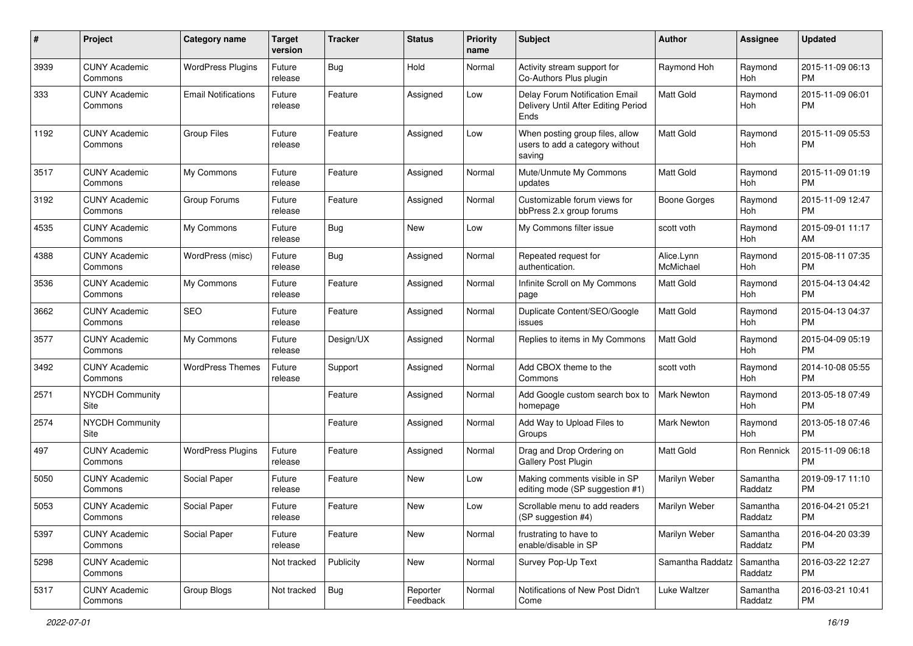| #    | Project                         | <b>Category name</b>       | <b>Target</b><br>version | Tracker    | <b>Status</b>        | <b>Priority</b><br>name | <b>Subject</b>                                                                | Author                  | Assignee            | <b>Updated</b>                |
|------|---------------------------------|----------------------------|--------------------------|------------|----------------------|-------------------------|-------------------------------------------------------------------------------|-------------------------|---------------------|-------------------------------|
| 3939 | <b>CUNY Academic</b><br>Commons | <b>WordPress Plugins</b>   | Future<br>release        | Bug        | Hold                 | Normal                  | Activity stream support for<br>Co-Authors Plus plugin                         | Raymond Hoh             | Raymond<br>Hoh      | 2015-11-09 06:13<br><b>PM</b> |
| 333  | <b>CUNY Academic</b><br>Commons | <b>Email Notifications</b> | Future<br>release        | Feature    | Assigned             | Low                     | Delay Forum Notification Email<br>Delivery Until After Editing Period<br>Ends | Matt Gold               | Raymond<br>Hoh      | 2015-11-09 06:01<br><b>PM</b> |
| 1192 | <b>CUNY Academic</b><br>Commons | <b>Group Files</b>         | Future<br>release        | Feature    | Assigned             | Low                     | When posting group files, allow<br>users to add a category without<br>saving  | Matt Gold               | Raymond<br>Hoh      | 2015-11-09 05:53<br><b>PM</b> |
| 3517 | <b>CUNY Academic</b><br>Commons | My Commons                 | Future<br>release        | Feature    | Assigned             | Normal                  | Mute/Unmute My Commons<br>updates                                             | <b>Matt Gold</b>        | Raymond<br>Hoh      | 2015-11-09 01:19<br><b>PM</b> |
| 3192 | <b>CUNY Academic</b><br>Commons | Group Forums               | Future<br>release        | Feature    | Assigned             | Normal                  | Customizable forum views for<br>bbPress 2.x group forums                      | Boone Gorges            | Raymond<br>Hoh      | 2015-11-09 12:47<br><b>PM</b> |
| 4535 | <b>CUNY Academic</b><br>Commons | My Commons                 | Future<br>release        | Bug        | New                  | Low                     | My Commons filter issue                                                       | scott voth              | Raymond<br>Hoh      | 2015-09-01 11:17<br>AM        |
| 4388 | <b>CUNY Academic</b><br>Commons | WordPress (misc)           | Future<br>release        | Bug        | Assigned             | Normal                  | Repeated request for<br>authentication.                                       | Alice.Lynn<br>McMichael | Raymond<br>Hoh      | 2015-08-11 07:35<br><b>PM</b> |
| 3536 | <b>CUNY Academic</b><br>Commons | My Commons                 | Future<br>release        | Feature    | Assigned             | Normal                  | Infinite Scroll on My Commons<br>page                                         | <b>Matt Gold</b>        | Raymond<br>Hoh      | 2015-04-13 04:42<br><b>PM</b> |
| 3662 | <b>CUNY Academic</b><br>Commons | <b>SEO</b>                 | Future<br>release        | Feature    | Assigned             | Normal                  | Duplicate Content/SEO/Google<br>issues                                        | <b>Matt Gold</b>        | Raymond<br>Hoh      | 2015-04-13 04:37<br><b>PM</b> |
| 3577 | <b>CUNY Academic</b><br>Commons | My Commons                 | Future<br>release        | Design/UX  | Assigned             | Normal                  | Replies to items in My Commons                                                | <b>Matt Gold</b>        | Raymond<br>Hoh      | 2015-04-09 05:19<br><b>PM</b> |
| 3492 | <b>CUNY Academic</b><br>Commons | <b>WordPress Themes</b>    | Future<br>release        | Support    | Assigned             | Normal                  | Add CBOX theme to the<br>Commons                                              | scott voth              | Raymond<br>Hoh      | 2014-10-08 05:55<br><b>PM</b> |
| 2571 | <b>NYCDH Community</b><br>Site  |                            |                          | Feature    | Assigned             | Normal                  | Add Google custom search box to<br>homepage                                   | <b>Mark Newton</b>      | Raymond<br>Hoh      | 2013-05-18 07:49<br><b>PM</b> |
| 2574 | <b>NYCDH Community</b><br>Site  |                            |                          | Feature    | Assigned             | Normal                  | Add Way to Upload Files to<br>Groups                                          | <b>Mark Newton</b>      | Raymond<br>Hoh      | 2013-05-18 07:46<br><b>PM</b> |
| 497  | <b>CUNY Academic</b><br>Commons | <b>WordPress Plugins</b>   | Future<br>release        | Feature    | Assigned             | Normal                  | Drag and Drop Ordering on<br>Gallery Post Plugin                              | <b>Matt Gold</b>        | Ron Rennick         | 2015-11-09 06:18<br><b>PM</b> |
| 5050 | <b>CUNY Academic</b><br>Commons | Social Paper               | Future<br>release        | Feature    | New                  | Low                     | Making comments visible in SP<br>editing mode (SP suggestion #1)              | Marilyn Weber           | Samantha<br>Raddatz | 2019-09-17 11:10<br><b>PM</b> |
| 5053 | <b>CUNY Academic</b><br>Commons | Social Paper               | Future<br>release        | Feature    | New                  | Low                     | Scrollable menu to add readers<br>(SP suggestion #4)                          | Marilyn Weber           | Samantha<br>Raddatz | 2016-04-21 05:21<br>PM        |
| 5397 | <b>CUNY Academic</b><br>Commons | Social Paper               | Future<br>release        | Feature    | New                  | Normal                  | frustrating to have to<br>enable/disable in SP                                | Marilyn Weber           | Samantha<br>Raddatz | 2016-04-20 03:39<br><b>PM</b> |
| 5298 | <b>CUNY Academic</b><br>Commons |                            | Not tracked              | Publicity  | New                  | Normal                  | Survey Pop-Up Text                                                            | Samantha Raddatz        | Samantha<br>Raddatz | 2016-03-22 12:27<br><b>PM</b> |
| 5317 | <b>CUNY Academic</b><br>Commons | Group Blogs                | Not tracked              | <b>Bug</b> | Reporter<br>Feedback | Normal                  | Notifications of New Post Didn't<br>Come                                      | Luke Waltzer            | Samantha<br>Raddatz | 2016-03-21 10:41<br><b>PM</b> |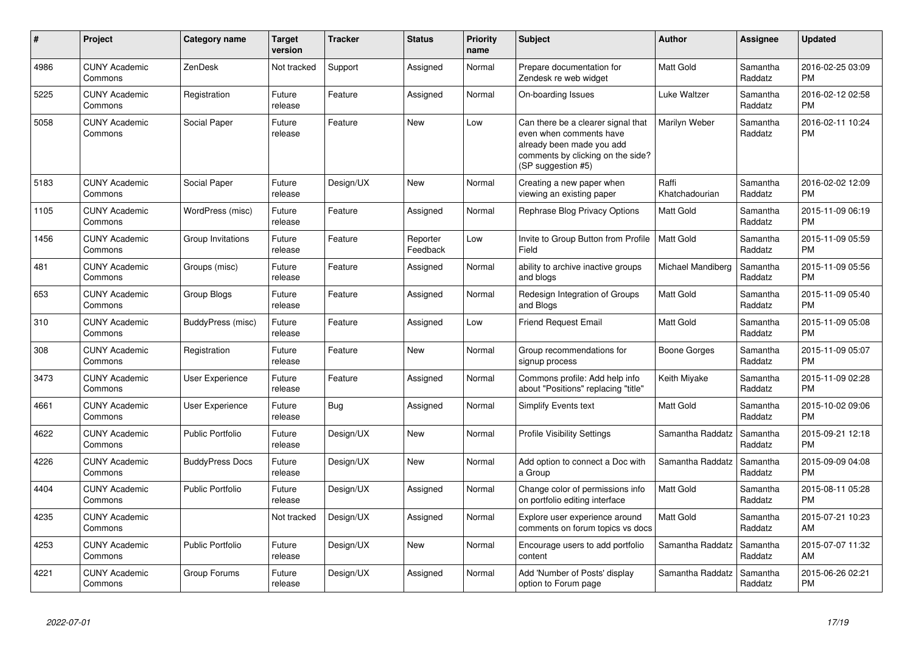| #    | Project                         | <b>Category name</b>    | <b>Target</b><br>version | <b>Tracker</b> | <b>Status</b>        | <b>Priority</b><br>name | <b>Subject</b>                                                                                                                                        | <b>Author</b>           | <b>Assignee</b>     | <b>Updated</b>                |
|------|---------------------------------|-------------------------|--------------------------|----------------|----------------------|-------------------------|-------------------------------------------------------------------------------------------------------------------------------------------------------|-------------------------|---------------------|-------------------------------|
| 4986 | <b>CUNY Academic</b><br>Commons | ZenDesk                 | Not tracked              | Support        | Assigned             | Normal                  | Prepare documentation for<br>Zendesk re web widget                                                                                                    | <b>Matt Gold</b>        | Samantha<br>Raddatz | 2016-02-25 03:09<br><b>PM</b> |
| 5225 | <b>CUNY Academic</b><br>Commons | Registration            | Future<br>release        | Feature        | Assigned             | Normal                  | On-boarding Issues                                                                                                                                    | Luke Waltzer            | Samantha<br>Raddatz | 2016-02-12 02:58<br><b>PM</b> |
| 5058 | <b>CUNY Academic</b><br>Commons | Social Paper            | Future<br>release        | Feature        | New                  | Low                     | Can there be a clearer signal that<br>even when comments have<br>already been made you add<br>comments by clicking on the side?<br>(SP suggestion #5) | Marilyn Weber           | Samantha<br>Raddatz | 2016-02-11 10:24<br><b>PM</b> |
| 5183 | <b>CUNY Academic</b><br>Commons | Social Paper            | Future<br>release        | Design/UX      | <b>New</b>           | Normal                  | Creating a new paper when<br>viewing an existing paper                                                                                                | Raffi<br>Khatchadourian | Samantha<br>Raddatz | 2016-02-02 12:09<br><b>PM</b> |
| 1105 | <b>CUNY Academic</b><br>Commons | WordPress (misc)        | Future<br>release        | Feature        | Assigned             | Normal                  | Rephrase Blog Privacy Options                                                                                                                         | <b>Matt Gold</b>        | Samantha<br>Raddatz | 2015-11-09 06:19<br><b>PM</b> |
| 1456 | <b>CUNY Academic</b><br>Commons | Group Invitations       | Future<br>release        | Feature        | Reporter<br>Feedback | Low                     | Invite to Group Button from Profile<br>Field                                                                                                          | <b>Matt Gold</b>        | Samantha<br>Raddatz | 2015-11-09 05:59<br><b>PM</b> |
| 481  | <b>CUNY Academic</b><br>Commons | Groups (misc)           | Future<br>release        | Feature        | Assigned             | Normal                  | ability to archive inactive groups<br>and blogs                                                                                                       | Michael Mandiberg       | Samantha<br>Raddatz | 2015-11-09 05:56<br><b>PM</b> |
| 653  | <b>CUNY Academic</b><br>Commons | Group Blogs             | Future<br>release        | Feature        | Assigned             | Normal                  | Redesign Integration of Groups<br>and Blogs                                                                                                           | Matt Gold               | Samantha<br>Raddatz | 2015-11-09 05:40<br><b>PM</b> |
| 310  | <b>CUNY Academic</b><br>Commons | BuddyPress (misc)       | Future<br>release        | Feature        | Assigned             | Low                     | <b>Friend Request Email</b>                                                                                                                           | <b>Matt Gold</b>        | Samantha<br>Raddatz | 2015-11-09 05:08<br><b>PM</b> |
| 308  | <b>CUNY Academic</b><br>Commons | Registration            | Future<br>release        | Feature        | <b>New</b>           | Normal                  | Group recommendations for<br>signup process                                                                                                           | Boone Gorges            | Samantha<br>Raddatz | 2015-11-09 05:07<br><b>PM</b> |
| 3473 | <b>CUNY Academic</b><br>Commons | <b>User Experience</b>  | Future<br>release        | Feature        | Assigned             | Normal                  | Commons profile: Add help info<br>about "Positions" replacing "title"                                                                                 | Keith Miyake            | Samantha<br>Raddatz | 2015-11-09 02:28<br><b>PM</b> |
| 4661 | <b>CUNY Academic</b><br>Commons | <b>User Experience</b>  | Future<br>release        | Bug            | Assigned             | Normal                  | Simplify Events text                                                                                                                                  | Matt Gold               | Samantha<br>Raddatz | 2015-10-02 09:06<br><b>PM</b> |
| 4622 | <b>CUNY Academic</b><br>Commons | <b>Public Portfolio</b> | Future<br>release        | Design/UX      | New                  | Normal                  | <b>Profile Visibility Settings</b>                                                                                                                    | Samantha Raddatz        | Samantha<br>Raddatz | 2015-09-21 12:18<br><b>PM</b> |
| 4226 | <b>CUNY Academic</b><br>Commons | <b>BuddyPress Docs</b>  | Future<br>release        | Design/UX      | <b>New</b>           | Normal                  | Add option to connect a Doc with<br>a Group                                                                                                           | Samantha Raddatz        | Samantha<br>Raddatz | 2015-09-09 04:08<br><b>PM</b> |
| 4404 | <b>CUNY Academic</b><br>Commons | <b>Public Portfolio</b> | Future<br>release        | Design/UX      | Assigned             | Normal                  | Change color of permissions info<br>on portfolio editing interface                                                                                    | Matt Gold               | Samantha<br>Raddatz | 2015-08-11 05:28<br><b>PM</b> |
| 4235 | <b>CUNY Academic</b><br>Commons |                         | Not tracked              | Design/UX      | Assigned             | Normal                  | Explore user experience around<br>comments on forum topics vs docs                                                                                    | <b>Matt Gold</b>        | Samantha<br>Raddatz | 2015-07-21 10:23<br>AM        |
| 4253 | <b>CUNY Academic</b><br>Commons | <b>Public Portfolio</b> | Future<br>release        | Design/UX      | New                  | Normal                  | Encourage users to add portfolio<br>content                                                                                                           | Samantha Raddatz        | Samantha<br>Raddatz | 2015-07-07 11:32<br>AM        |
| 4221 | <b>CUNY Academic</b><br>Commons | Group Forums            | Future<br>release        | Design/UX      | Assigned             | Normal                  | Add 'Number of Posts' display<br>option to Forum page                                                                                                 | Samantha Raddatz        | Samantha<br>Raddatz | 2015-06-26 02:21<br><b>PM</b> |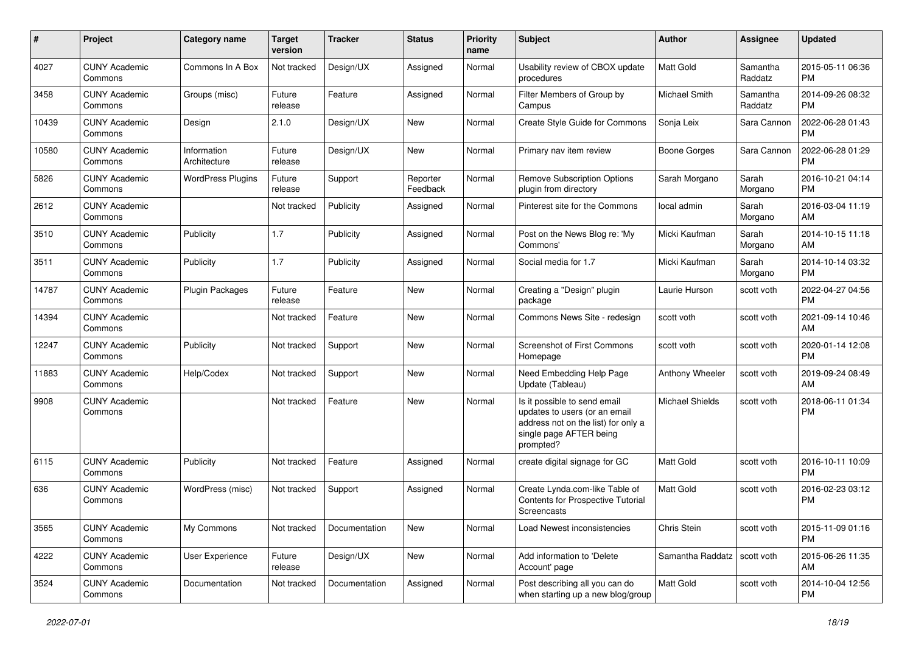| #     | Project                         | Category name               | <b>Target</b><br>version | <b>Tracker</b> | <b>Status</b>        | Priority<br>name | Subject                                                                                                                                      | Author                        | <b>Assignee</b>     | <b>Updated</b>                |
|-------|---------------------------------|-----------------------------|--------------------------|----------------|----------------------|------------------|----------------------------------------------------------------------------------------------------------------------------------------------|-------------------------------|---------------------|-------------------------------|
| 4027  | <b>CUNY Academic</b><br>Commons | Commons In A Box            | Not tracked              | Design/UX      | Assigned             | Normal           | Usability review of CBOX update<br>procedures                                                                                                | <b>Matt Gold</b>              | Samantha<br>Raddatz | 2015-05-11 06:36<br><b>PM</b> |
| 3458  | <b>CUNY Academic</b><br>Commons | Groups (misc)               | Future<br>release        | Feature        | Assigned             | Normal           | Filter Members of Group by<br>Campus                                                                                                         | Michael Smith                 | Samantha<br>Raddatz | 2014-09-26 08:32<br><b>PM</b> |
| 10439 | <b>CUNY Academic</b><br>Commons | Design                      | 2.1.0                    | Design/UX      | <b>New</b>           | Normal           | Create Style Guide for Commons                                                                                                               | Sonja Leix                    | Sara Cannon         | 2022-06-28 01:43<br><b>PM</b> |
| 10580 | <b>CUNY Academic</b><br>Commons | Information<br>Architecture | Future<br>release        | Design/UX      | <b>New</b>           | Normal           | Primary nav item review                                                                                                                      | Boone Gorges                  | Sara Cannon         | 2022-06-28 01:29<br><b>PM</b> |
| 5826  | <b>CUNY Academic</b><br>Commons | <b>WordPress Plugins</b>    | Future<br>release        | Support        | Reporter<br>Feedback | Normal           | <b>Remove Subscription Options</b><br>plugin from directory                                                                                  | Sarah Morgano                 | Sarah<br>Morgano    | 2016-10-21 04:14<br><b>PM</b> |
| 2612  | <b>CUNY Academic</b><br>Commons |                             | Not tracked              | Publicity      | Assigned             | Normal           | Pinterest site for the Commons                                                                                                               | local admin                   | Sarah<br>Morgano    | 2016-03-04 11:19<br>AM        |
| 3510  | <b>CUNY Academic</b><br>Commons | Publicity                   | 1.7                      | Publicity      | Assigned             | Normal           | Post on the News Blog re: 'My<br>Commons'                                                                                                    | Micki Kaufman                 | Sarah<br>Morgano    | 2014-10-15 11:18<br>AM        |
| 3511  | <b>CUNY Academic</b><br>Commons | Publicity                   | 1.7                      | Publicity      | Assigned             | Normal           | Social media for 1.7                                                                                                                         | Micki Kaufman                 | Sarah<br>Morgano    | 2014-10-14 03:32<br><b>PM</b> |
| 14787 | <b>CUNY Academic</b><br>Commons | <b>Plugin Packages</b>      | Future<br>release        | Feature        | New                  | Normal           | Creating a "Design" plugin<br>package                                                                                                        | Laurie Hurson                 | scott voth          | 2022-04-27 04:56<br><b>PM</b> |
| 14394 | <b>CUNY Academic</b><br>Commons |                             | Not tracked              | Feature        | <b>New</b>           | Normal           | Commons News Site - redesign                                                                                                                 | scott voth                    | scott voth          | 2021-09-14 10:46<br>AM        |
| 12247 | <b>CUNY Academic</b><br>Commons | Publicity                   | Not tracked              | Support        | <b>New</b>           | Normal           | <b>Screenshot of First Commons</b><br>Homepage                                                                                               | scott voth                    | scott voth          | 2020-01-14 12:08<br><b>PM</b> |
| 11883 | <b>CUNY Academic</b><br>Commons | Help/Codex                  | Not tracked              | Support        | <b>New</b>           | Normal           | Need Embedding Help Page<br>Update (Tableau)                                                                                                 | Anthony Wheeler               | scott voth          | 2019-09-24 08:49<br>AM        |
| 9908  | <b>CUNY Academic</b><br>Commons |                             | Not tracked              | Feature        | New                  | Normal           | Is it possible to send email<br>updates to users (or an email<br>address not on the list) for only a<br>single page AFTER being<br>prompted? | <b>Michael Shields</b>        | scott voth          | 2018-06-11 01:34<br><b>PM</b> |
| 6115  | <b>CUNY Academic</b><br>Commons | Publicity                   | Not tracked              | Feature        | Assigned             | Normal           | create digital signage for GC                                                                                                                | <b>Matt Gold</b>              | scott voth          | 2016-10-11 10:09<br><b>PM</b> |
| 636   | <b>CUNY Academic</b><br>Commons | WordPress (misc)            | Not tracked              | Support        | Assigned             | Normal           | Create Lynda.com-like Table of<br>Contents for Prospective Tutorial<br>Screencasts                                                           | <b>Matt Gold</b>              | scott voth          | 2016-02-23 03:12<br><b>PM</b> |
| 3565  | <b>CUNY Academic</b><br>Commons | My Commons                  | Not tracked              | Documentation  | New                  | Normal           | Load Newest inconsistencies                                                                                                                  | Chris Stein                   | scott voth          | 2015-11-09 01:16<br><b>PM</b> |
| 4222  | <b>CUNY Academic</b><br>Commons | User Experience             | Future<br>release        | Design/UX      | New                  | Normal           | Add information to 'Delete<br>Account' page                                                                                                  | Samantha Raddatz   scott voth |                     | 2015-06-26 11:35<br>AM        |
| 3524  | <b>CUNY Academic</b><br>Commons | Documentation               | Not tracked              | Documentation  | Assigned             | Normal           | Post describing all you can do<br>when starting up a new blog/group                                                                          | Matt Gold                     | scott voth          | 2014-10-04 12:56<br>PM        |